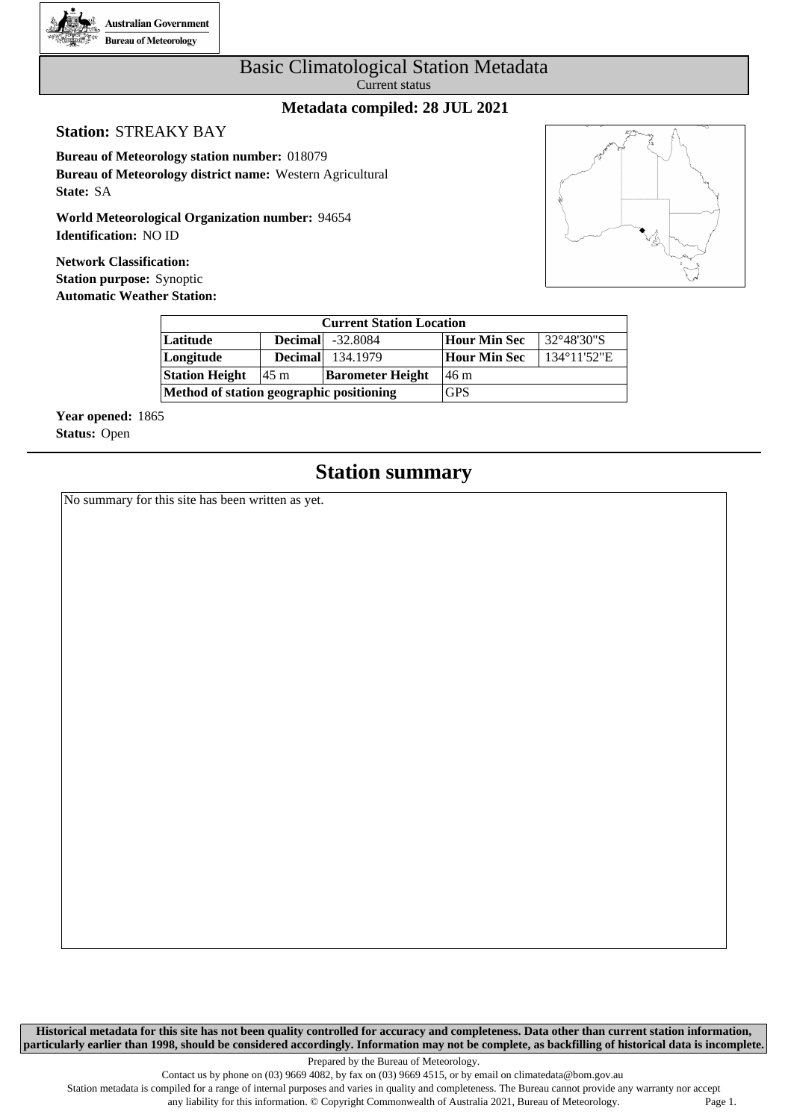

#### Basic Climatological Station Metadata Current status

#### **Metadata compiled: 28 JUL 2021**

#### **Station:** STREAKY BAY

**Bureau of Meteorology station number:** 018079 **Bureau of Meteorology district name:** Western Agricultural **State:** SA

**World Meteorological Organization number:** 94654 **Identification:** NO ID

**Network Classification: Station purpose:** Synoptic **Automatic Weather Station:**



| <b>Current Station Location</b>          |                |                         |              |                       |  |  |  |  |  |  |  |
|------------------------------------------|----------------|-------------------------|--------------|-----------------------|--|--|--|--|--|--|--|
| Latitude                                 |                | <b>Decimal</b> -32.8084 | Hour Min Sec | 32°48'30"S            |  |  |  |  |  |  |  |
| Longitude                                | <b>Decimal</b> | 134.1979                | Hour Min Sec | $134^{\circ}11'52''E$ |  |  |  |  |  |  |  |
| <b>Station Height</b>                    | 145 m          | <b>Barometer Height</b> | 146 m        |                       |  |  |  |  |  |  |  |
| Method of station geographic positioning |                | <b>GPS</b>              |              |                       |  |  |  |  |  |  |  |

**Year opened:** 1865 **Status:** Open

### **Station summary**

No summary for this site has been written as yet.

**Historical metadata for this site has not been quality controlled for accuracy and completeness. Data other than current station information, particularly earlier than 1998, should be considered accordingly. Information may not be complete, as backfilling of historical data is incomplete.**

Prepared by the Bureau of Meteorology.

Station metadata is compiled for a range of internal purposes and varies in quality and completeness. The Bureau cannot provide any warranty nor accept any liability for this information. © Copyright Commonwealth of Australia 2021, Bureau of Meteorology. Page 1.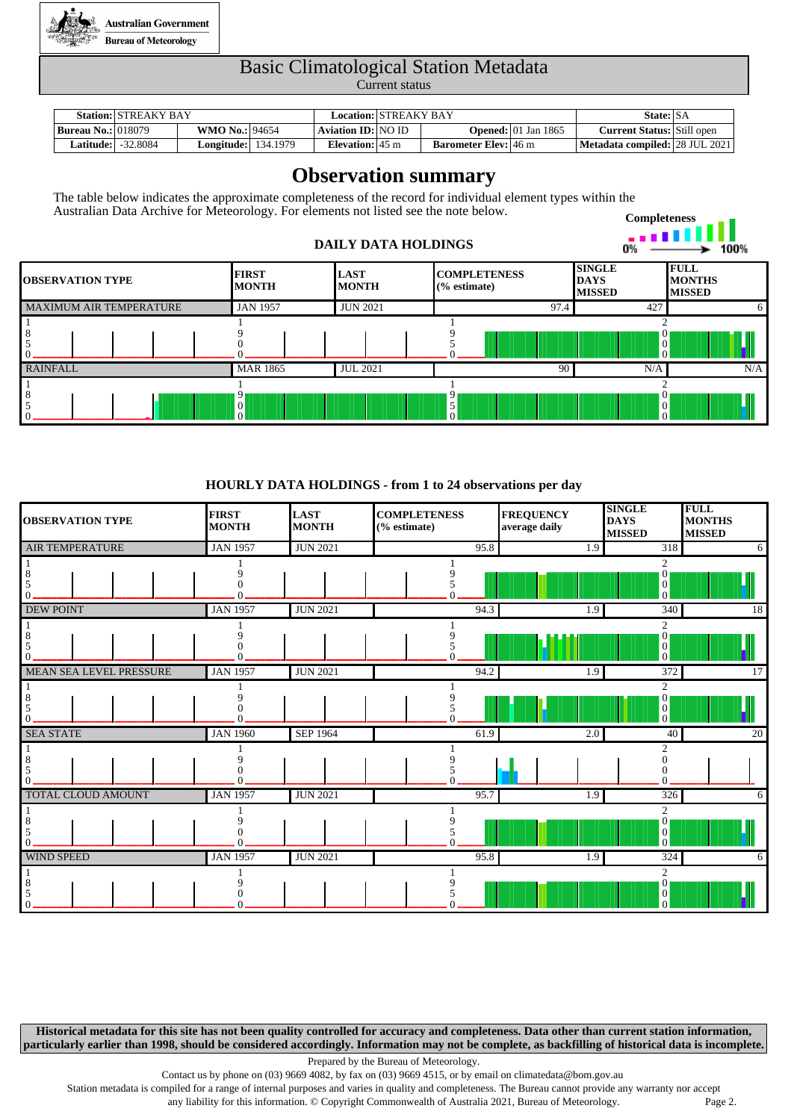

# Basic Climatological Station Metadata

Current status

|                             | <b>Station: STREAKY BAY</b> |                       |          | Location: STREAKY BAY     |                             |                                        | State: SA                         |  |
|-----------------------------|-----------------------------|-----------------------|----------|---------------------------|-----------------------------|----------------------------------------|-----------------------------------|--|
| <b>Bureau No.:</b>   018079 |                             | <b>WMO No.: 94654</b> |          | Aviation ID: NO ID        |                             | <b>Opened:</b> $ 01 \text{ Jan } 1865$ | <b>Current Status:</b> Still open |  |
| <b>Latitude:  </b>          | $-32.8084$                  | $\text{Longitude:}$   | 134.1979 | Elevation: $45 \text{ m}$ | <b>Barometer Elev:</b> 46 m |                                        | Metadata compiled: 28 JUL 2021    |  |

## **Observation summary**

The table below indicates the approximate completeness of the record for individual element types within the Australian Data Archive for Meteorology. For elements not listed see the note below.

#### **DAILY DATA HOLDINGS**



| <b>IOBSERVATION TYPE</b> | <b>FIRST</b><br><b>MONTH</b>    | <b>LAST</b><br><b>MONTH</b> | <b>COMPLETENESS</b><br>$\frac{6}{6}$ estimate) | <b>SINGLE</b><br><b>DAYS</b><br><b>MISSED</b> | <b>FULL</b><br><b>MONTHS</b><br><b>MISSED</b> |
|--------------------------|---------------------------------|-----------------------------|------------------------------------------------|-----------------------------------------------|-----------------------------------------------|
| MAXIMUM AIR TEMPERATURE  | <b>JAN 1957</b>                 | <b>JUN 2021</b>             | 97.4                                           | 427                                           |                                               |
|                          |                                 |                             |                                                | v<br>$\theta$<br>$\Omega$                     |                                               |
| RAINFALL                 | <b>MAR 1865</b>                 | <b>JUL 2021</b>             | 90                                             | N/A                                           | N/A                                           |
|                          | 9<br>$\overline{0}$<br>$\Omega$ |                             |                                                | $\mathbf{U}$<br>$\overline{0}$<br>$\Omega$    |                                               |

#### **HOURLY DATA HOLDINGS - from 1 to 24 observations per day**

| <b>OBSERVATION TYPE</b> | <b>FIRST</b><br><b>MONTH</b> | <b>LAST</b><br><b>MONTH</b> | <b>COMPLETENESS</b><br>(% estimate) | <b>FREQUENCY</b><br>average daily | <b>SINGLE</b><br><b>DAYS</b><br><b>MISSED</b>                                | <b>FULL</b><br><b>MONTHS</b><br><b>MISSED</b> |
|-------------------------|------------------------------|-----------------------------|-------------------------------------|-----------------------------------|------------------------------------------------------------------------------|-----------------------------------------------|
| <b>AIR TEMPERATURE</b>  | <b>JAN 1957</b>              | <b>JUN 2021</b>             | 95.8                                | 1.9                               | $\overline{318}$                                                             | 6                                             |
|                         |                              |                             |                                     |                                   | 2<br>$\mathbf{0}$<br>$\begin{bmatrix} 0 \\ 0 \end{bmatrix}$                  |                                               |
| <b>DEW POINT</b>        | <b>JAN 1957</b>              | <b>JUN 2021</b>             | 94.3                                | $\overline{1.9}$                  | 340                                                                          | 18                                            |
|                         |                              |                             |                                     |                                   | $\overline{c}$<br>$\boldsymbol{0}$<br>$\begin{bmatrix} 0 \\ 0 \end{bmatrix}$ |                                               |
| MEAN SEA LEVEL PRESSURE | <b>JAN 1957</b>              | <b>JUN 2021</b>             | 94.2                                | 1.9                               | $\overline{372}$                                                             | 17                                            |
|                         |                              |                             |                                     |                                   | 2<br>$\mathbf{0}$<br>$\begin{bmatrix} 0 \\ 0 \end{bmatrix}$                  |                                               |
| <b>SEA STATE</b>        | <b>JAN 1960</b>              | <b>SEP 1964</b>             | 61.9                                | $\overline{2.0}$                  | 40                                                                           | $\overline{20}$                               |
|                         |                              |                             |                                     |                                   | $\overline{c}$                                                               |                                               |
| TOTAL CLOUD AMOUNT      | <b>JAN 1957</b>              | <b>JUN 2021</b>             | 95.7                                | 1.9                               | 326                                                                          | 6                                             |
|                         |                              |                             |                                     |                                   | 2<br>$\mathbf{0}$<br> 0 <br>$\overline{0}$                                   |                                               |
| <b>WIND SPEED</b>       | <b>JAN 1957</b>              | <b>JUN 2021</b>             | 95.8                                | $\overline{1.9}$                  | 324                                                                          | 6                                             |
|                         |                              |                             |                                     |                                   | $\overline{c}$<br>$\boldsymbol{0}$<br>$\mathbf{0}$<br>$\overline{0}$         |                                               |

**Historical metadata for this site has not been quality controlled for accuracy and completeness. Data other than current station information, particularly earlier than 1998, should be considered accordingly. Information may not be complete, as backfilling of historical data is incomplete.**

Prepared by the Bureau of Meteorology.

Contact us by phone on (03) 9669 4082, by fax on (03) 9669 4515, or by email on climatedata@bom.gov.au

Station metadata is compiled for a range of internal purposes and varies in quality and completeness. The Bureau cannot provide any warranty nor accept

any liability for this information. © Copyright Commonwealth of Australia 2021, Bureau of Meteorology. Page 2.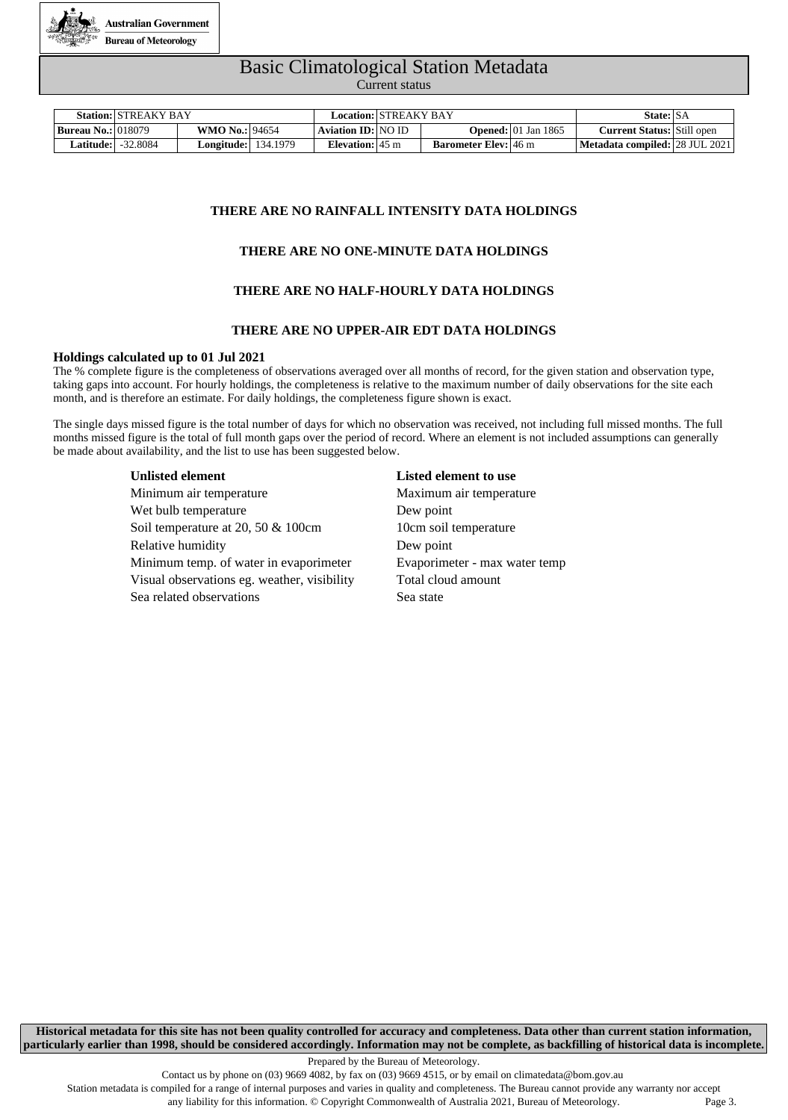

# Basic Climatological Station Metadata

Current status

|                             | <b>Station: STREAKY BAY</b> |                            |  |                           | Location: STREAKY BAY |                             |                                        | State: SA                         |  |
|-----------------------------|-----------------------------|----------------------------|--|---------------------------|-----------------------|-----------------------------|----------------------------------------|-----------------------------------|--|
| <b>Bureau No.:</b>   018079 |                             | <b>WMO No.: 94654</b>      |  | <b>Aviation ID: NO ID</b> |                       |                             | <b>Opened:</b> $ 01 \text{ Jan } 1865$ | <b>Current Status:</b> Still open |  |
| Latitude:                   | -32.8084                    | <b>Longitude:</b> 134.1979 |  | Elevation: $45 \text{ m}$ |                       | <b>Barometer Elev:</b> 46 m |                                        | Metadata compiled: 28 JUL 2021    |  |

#### **THERE ARE NO RAINFALL INTENSITY DATA HOLDINGS**

#### **THERE ARE NO ONE-MINUTE DATA HOLDINGS**

#### **THERE ARE NO HALF-HOURLY DATA HOLDINGS**

#### **THERE ARE NO UPPER-AIR EDT DATA HOLDINGS**

#### **Holdings calculated up to 01 Jul 2021**

The % complete figure is the completeness of observations averaged over all months of record, for the given station and observation type, taking gaps into account. For hourly holdings, the completeness is relative to the maximum number of daily observations for the site each month, and is therefore an estimate. For daily holdings, the completeness figure shown is exact.

The single days missed figure is the total number of days for which no observation was received, not including full missed months. The full months missed figure is the total of full month gaps over the period of record. Where an element is not included assumptions can generally be made about availability, and the list to use has been suggested below.

Minimum air temperature Maximum air temperature Wet bulb temperature Dew point Soil temperature at 20, 50 & 100cm 10cm soil temperature Relative humidity Dew point Minimum temp. of water in evaporimeter Evaporimeter - max water temp Visual observations eg. weather, visibility Total cloud amount Sea related observations Sea state

#### **Unlisted element Listed element to use**

**Historical metadata for this site has not been quality controlled for accuracy and completeness. Data other than current station information, particularly earlier than 1998, should be considered accordingly. Information may not be complete, as backfilling of historical data is incomplete.**

Prepared by the Bureau of Meteorology.

Station metadata is compiled for a range of internal purposes and varies in quality and completeness. The Bureau cannot provide any warranty nor accept

any liability for this information. © Copyright Commonwealth of Australia 2021, Bureau of Meteorology. Page 3.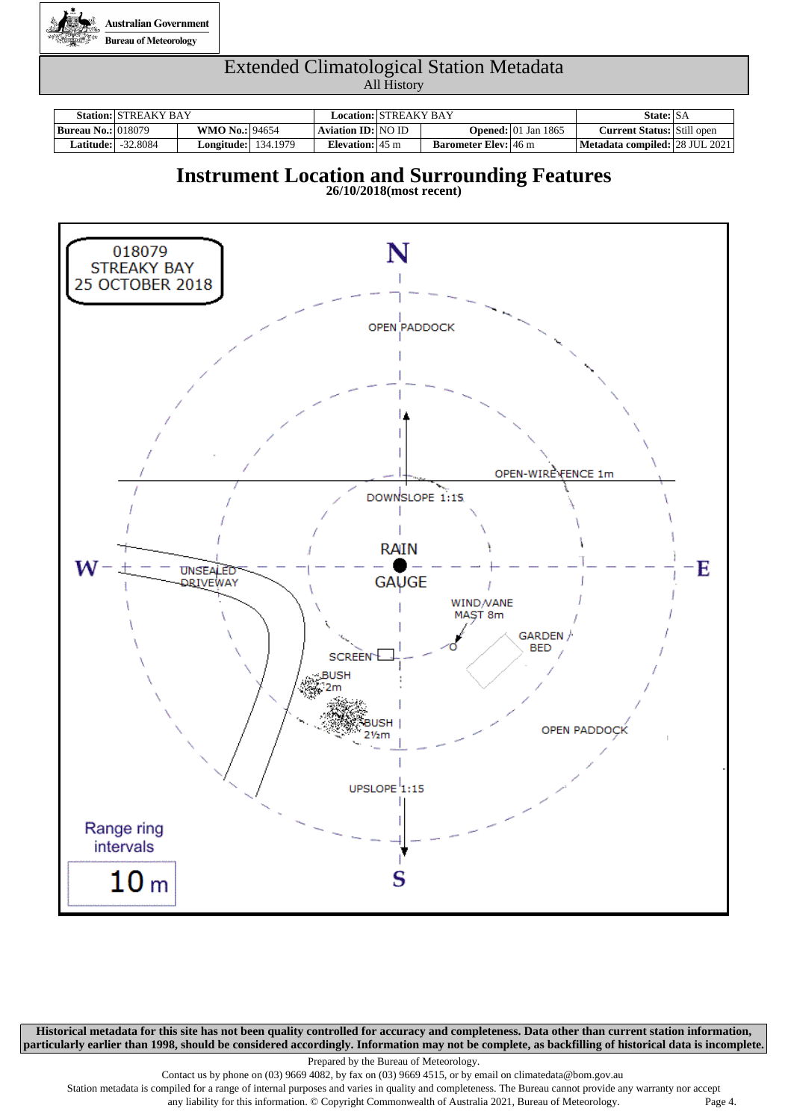

|                           | <b>Station: STREAKY BAY</b> |                            |                           | Location: STREAKY BAY |                             |                                        | State: SA                         |  |
|---------------------------|-----------------------------|----------------------------|---------------------------|-----------------------|-----------------------------|----------------------------------------|-----------------------------------|--|
| <b>Bureau No.: 018079</b> |                             | <b>WMO No.: 94654</b>      | Aviation ID: NO ID        |                       |                             | <b>Opened:</b> $ 01 \text{ Jan } 1865$ | <b>Current Status:</b> Still open |  |
|                           | <b>Latitude:</b> 32.8084    | <b>Longitude:</b> 134.1979 | Elevation: $45 \text{ m}$ |                       | <b>Barometer Elev:</b> 46 m |                                        | Metadata compiled: 28 JUL 2021    |  |

### **Instrument Location and Surrounding Features**

**26/10/2018(most recent)**



**Historical metadata for this site has not been quality controlled for accuracy and completeness. Data other than current station information, particularly earlier than 1998, should be considered accordingly. Information may not be complete, as backfilling of historical data is incomplete.**

Prepared by the Bureau of Meteorology.

Contact us by phone on (03) 9669 4082, by fax on (03) 9669 4515, or by email on climatedata@bom.gov.au

Station metadata is compiled for a range of internal purposes and varies in quality and completeness. The Bureau cannot provide any warranty nor accept any liability for this information. © Copyright Commonwealth of Australia 2021, Bureau of Meteorology. Page 4.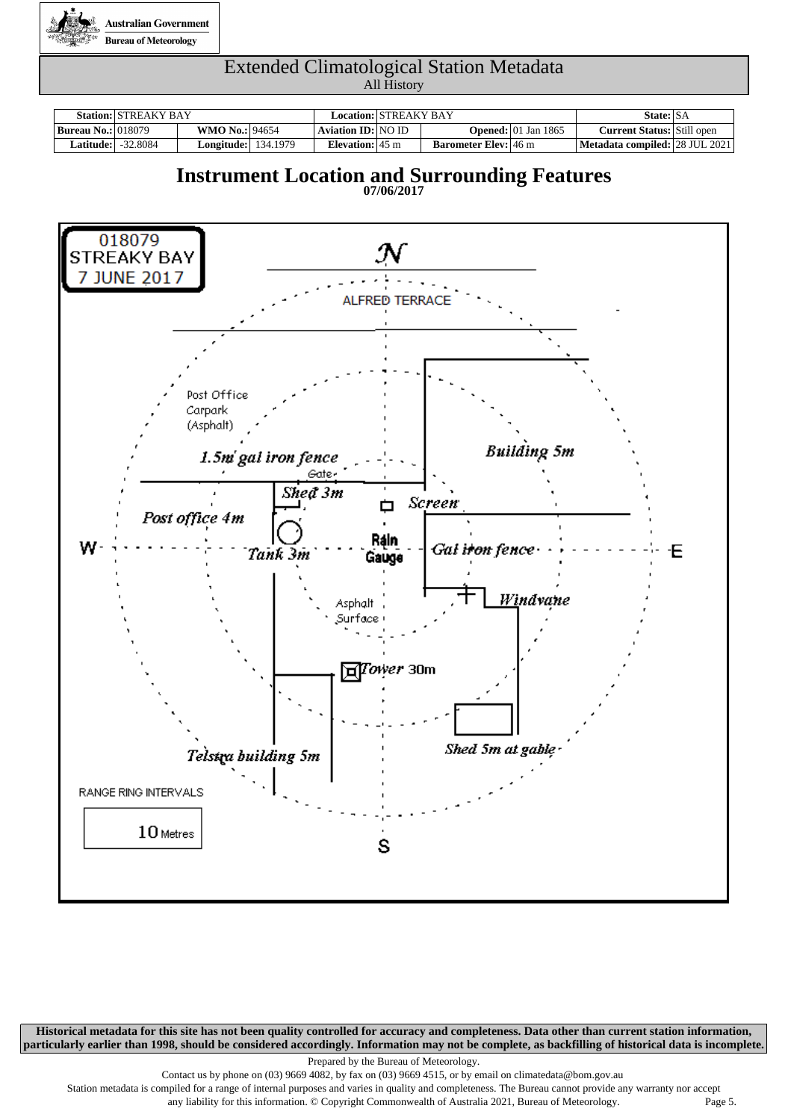

|                           | <b>Station: STREAKY BAY</b> |                            | Location:   STREAKY BAY   |                             |                                        | State: SA                         |  |
|---------------------------|-----------------------------|----------------------------|---------------------------|-----------------------------|----------------------------------------|-----------------------------------|--|
| <b>Bureau No.: 018079</b> |                             | <b>WMO No.: 94654</b>      | <b>Aviation ID: NO ID</b> |                             | <b>Opened:</b> $ 01 \text{ Jan } 1865$ | <b>Current Status:</b> Still open |  |
| <b>Latitude:  </b>        | -32.8084                    | <b>Longitude:</b> 134.1979 | Elevation: $45 \text{ m}$ | <b>Barometer Elev:</b> 46 m |                                        | Metadata compiled: 28 JUL 2021    |  |

### **Instrument Location and Surrounding Features**





**Historical metadata for this site has not been quality controlled for accuracy and completeness. Data other than current station information, particularly earlier than 1998, should be considered accordingly. Information may not be complete, as backfilling of historical data is incomplete.**

Prepared by the Bureau of Meteorology.

Contact us by phone on (03) 9669 4082, by fax on (03) 9669 4515, or by email on climatedata@bom.gov.au

Station metadata is compiled for a range of internal purposes and varies in quality and completeness. The Bureau cannot provide any warranty nor accept any liability for this information. © Copyright Commonwealth of Australia 2021, Bureau of Meteorology. Page 5.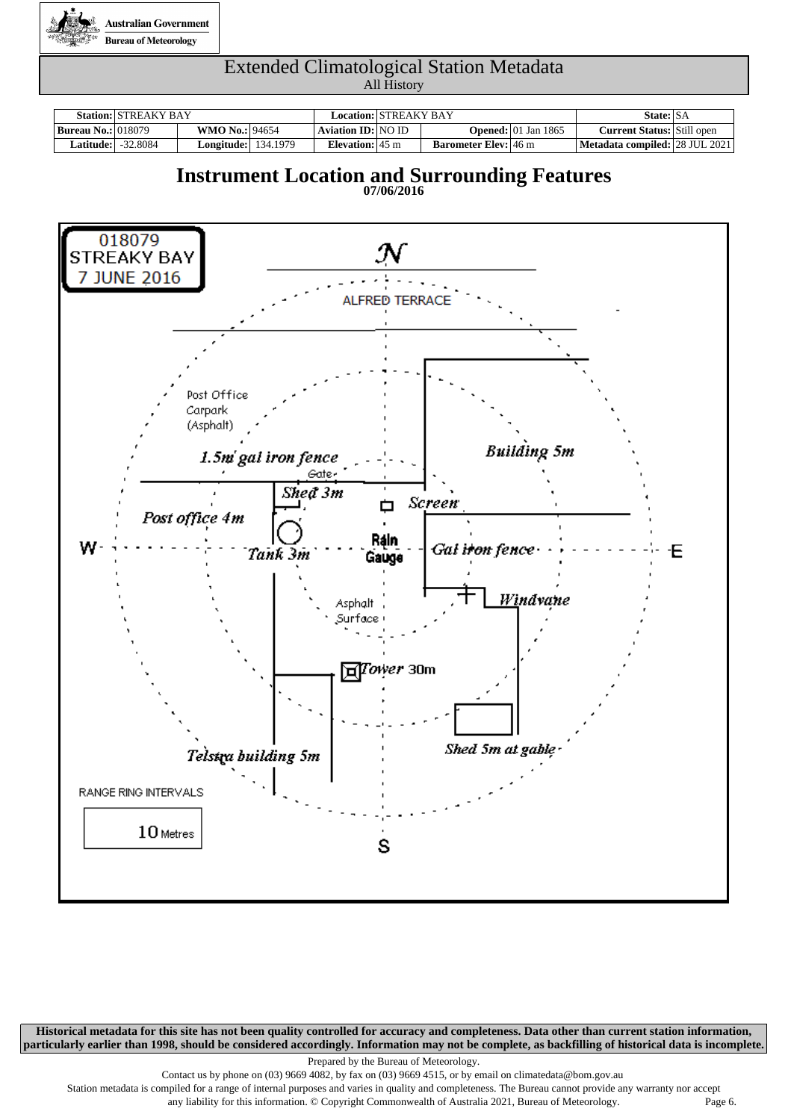

|                           | <b>Station: STREAKY BAY</b> |                            | Location:   STREAKY BAY   |                             |                                        | State: SA                         |  |
|---------------------------|-----------------------------|----------------------------|---------------------------|-----------------------------|----------------------------------------|-----------------------------------|--|
| <b>Bureau No.: 018079</b> |                             | <b>WMO No.: 94654</b>      | <b>Aviation ID: NO ID</b> |                             | <b>Opened:</b> $ 01 \text{ Jan } 1865$ | <b>Current Status:</b> Still open |  |
| <b>Latitude:  </b>        | -32.8084                    | <b>Longitude:</b> 134.1979 | Elevation: $45 \text{ m}$ | <b>Barometer Elev:</b> 46 m |                                        | Metadata compiled: 28 JUL 2021    |  |

### **Instrument Location and Surrounding Features**

**07/06/2016**



**Historical metadata for this site has not been quality controlled for accuracy and completeness. Data other than current station information, particularly earlier than 1998, should be considered accordingly. Information may not be complete, as backfilling of historical data is incomplete.**

Prepared by the Bureau of Meteorology.

Contact us by phone on (03) 9669 4082, by fax on (03) 9669 4515, or by email on climatedata@bom.gov.au

Station metadata is compiled for a range of internal purposes and varies in quality and completeness. The Bureau cannot provide any warranty nor accept any liability for this information. © Copyright Commonwealth of Australia 2021, Bureau of Meteorology. Page 6.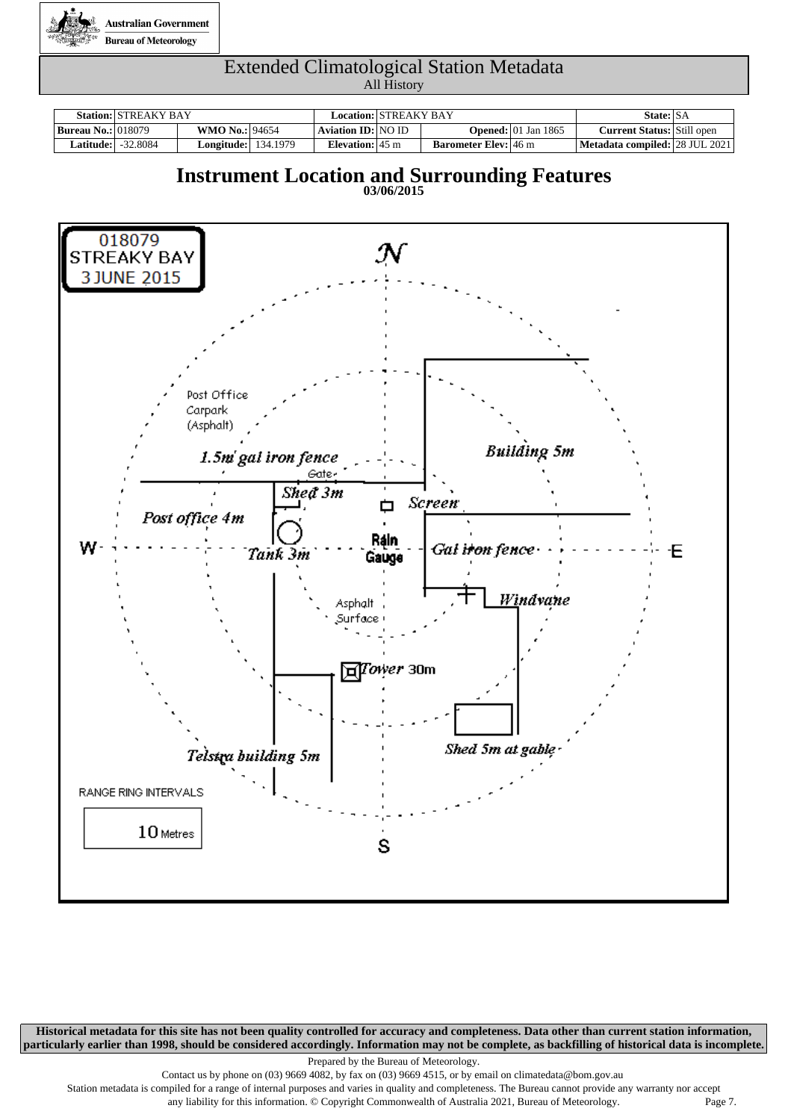

|                           | <b>Station: STREAKY BAY</b> |                            | Location: STREAKY BAY     |                             |                                        | State: SA                         |  |
|---------------------------|-----------------------------|----------------------------|---------------------------|-----------------------------|----------------------------------------|-----------------------------------|--|
| <b>Bureau No.: 018079</b> |                             | <b>WMO No.: 94654</b>      | Aviation ID: NO ID        |                             | <b>Opened:</b> $ 01 \text{ Jan } 1865$ | <b>Current Status:</b> Still open |  |
| Latitude:                 | -32.8084                    | <b>Longitude:</b> 134.1979 | Elevation: $45 \text{ m}$ | <b>Barometer Elev:</b> 46 m |                                        | Metadata compiled: 28 JUL 2021    |  |

### **Instrument Location and Surrounding Features**

**03/06/2015**



**Historical metadata for this site has not been quality controlled for accuracy and completeness. Data other than current station information, particularly earlier than 1998, should be considered accordingly. Information may not be complete, as backfilling of historical data is incomplete.**

Prepared by the Bureau of Meteorology.

Contact us by phone on (03) 9669 4082, by fax on (03) 9669 4515, or by email on climatedata@bom.gov.au

Station metadata is compiled for a range of internal purposes and varies in quality and completeness. The Bureau cannot provide any warranty nor accept any liability for this information. © Copyright Commonwealth of Australia 2021, Bureau of Meteorology. Page 7.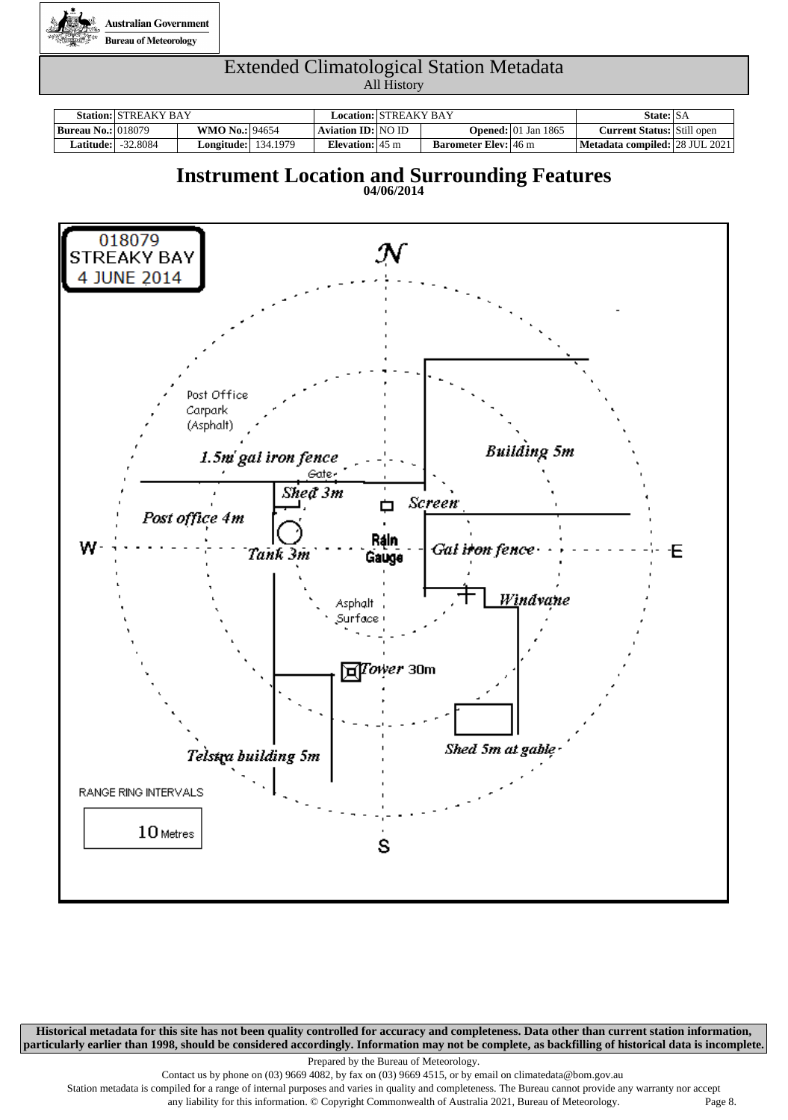

|                           | <b>Station: STREAKY BAY</b> |                            | Location: STREAKY BAY     |                             |                                        | State: SA                         |  |
|---------------------------|-----------------------------|----------------------------|---------------------------|-----------------------------|----------------------------------------|-----------------------------------|--|
| <b>Bureau No.: 018079</b> |                             | <b>WMO No.: 94654</b>      | Aviation ID: NO ID        |                             | <b>Opened:</b> $ 01 \text{ Jan } 1865$ | <b>Current Status:</b> Still open |  |
| Latitude:                 | -32.8084                    | <b>Longitude:</b> 134.1979 | Elevation: $45 \text{ m}$ | <b>Barometer Elev:</b> 46 m |                                        | Metadata compiled: 28 JUL 2021    |  |

### **Instrument Location and Surrounding Features**





**Historical metadata for this site has not been quality controlled for accuracy and completeness. Data other than current station information, particularly earlier than 1998, should be considered accordingly. Information may not be complete, as backfilling of historical data is incomplete.**

Prepared by the Bureau of Meteorology.

Contact us by phone on (03) 9669 4082, by fax on (03) 9669 4515, or by email on climatedata@bom.gov.au

Station metadata is compiled for a range of internal purposes and varies in quality and completeness. The Bureau cannot provide any warranty nor accept any liability for this information. © Copyright Commonwealth of Australia 2021, Bureau of Meteorology. Page 8.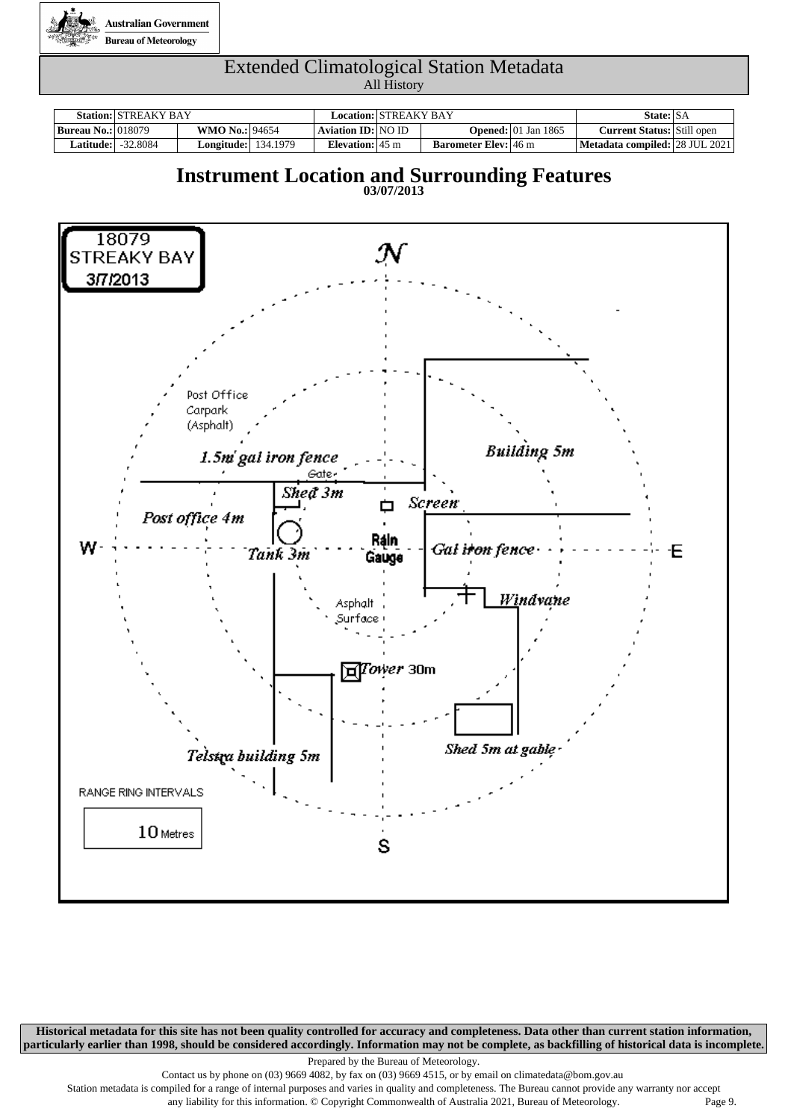

|                           | <b>Station: STREAKY BAY</b> |                            | Location:   STREAKY BAY   |                             |                                        | State: SA                         |  |
|---------------------------|-----------------------------|----------------------------|---------------------------|-----------------------------|----------------------------------------|-----------------------------------|--|
| <b>Bureau No.: 018079</b> |                             | <b>WMO No.: 94654</b>      | Aviation ID: NO ID        |                             | <b>Opened:</b> $ 01 \text{ Jan } 1865$ | <b>Current Status:</b> Still open |  |
| <b>Latitude:  </b>        | $-32.8084$                  | <b>Longitude:</b> 134.1979 | Elevation: $45 \text{ m}$ | <b>Barometer Elev:</b> 46 m |                                        | Metadata compiled: 28 JUL 2021    |  |

### **Instrument Location and Surrounding Features**



**Historical metadata for this site has not been quality controlled for accuracy and completeness. Data other than current station information, particularly earlier than 1998, should be considered accordingly. Information may not be complete, as backfilling of historical data is incomplete.**

Prepared by the Bureau of Meteorology.

Contact us by phone on (03) 9669 4082, by fax on (03) 9669 4515, or by email on climatedata@bom.gov.au

Station metadata is compiled for a range of internal purposes and varies in quality and completeness. The Bureau cannot provide any warranty nor accept

any liability for this information. © Copyright Commonwealth of Australia 2021, Bureau of Meteorology. Page 9.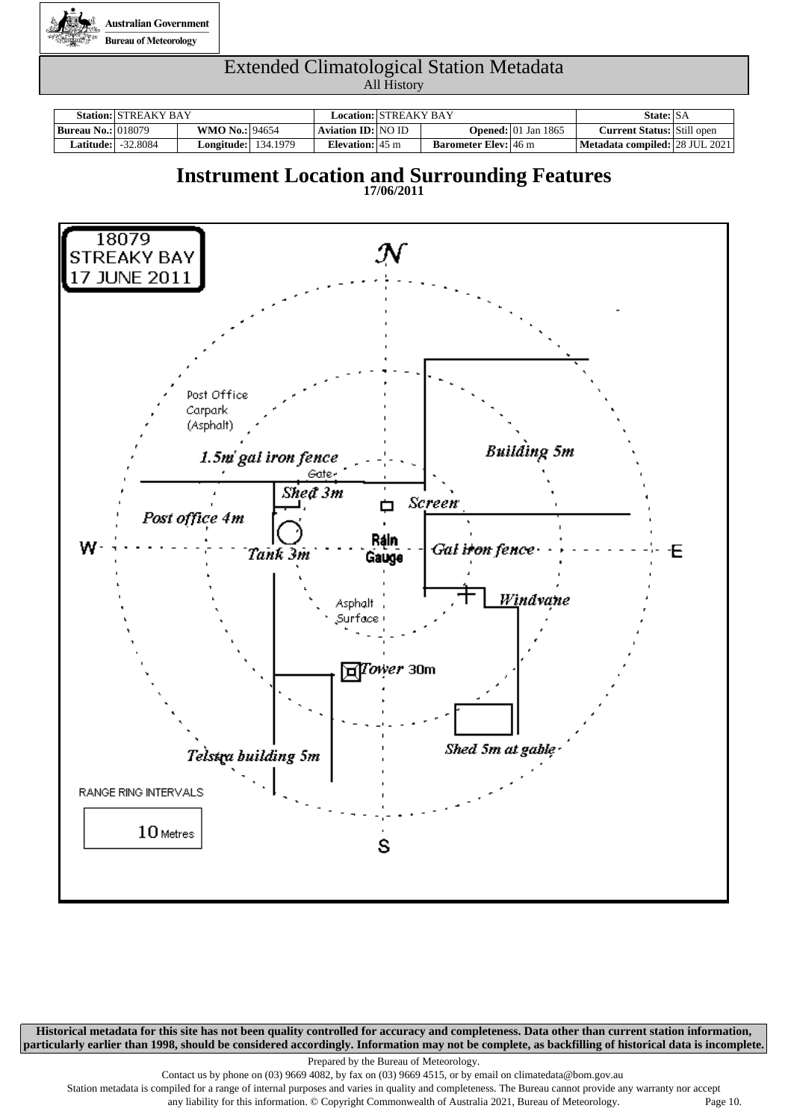

|                           | <b>Station: STREAKY BAY</b> |                            | Location: STREAKY BAY     |                             |                                        | State: SA                         |  |
|---------------------------|-----------------------------|----------------------------|---------------------------|-----------------------------|----------------------------------------|-----------------------------------|--|
| <b>Bureau No.: 018079</b> |                             | <b>WMO No.: 94654</b>      | Aviation ID: NO ID        |                             | <b>Opened:</b> $ 01 \text{ Jan } 1865$ | <b>Current Status:</b> Still open |  |
| Latitude:                 | -32.8084                    | <b>Longitude:</b> 134.1979 | Elevation: $45 \text{ m}$ | <b>Barometer Elev:</b> 46 m |                                        | Metadata compiled: 28 JUL 2021    |  |

### **Instrument Location and Surrounding Features**





**Historical metadata for this site has not been quality controlled for accuracy and completeness. Data other than current station information, particularly earlier than 1998, should be considered accordingly. Information may not be complete, as backfilling of historical data is incomplete.**

Prepared by the Bureau of Meteorology.

Contact us by phone on (03) 9669 4082, by fax on (03) 9669 4515, or by email on climatedata@bom.gov.au

Station metadata is compiled for a range of internal purposes and varies in quality and completeness. The Bureau cannot provide any warranty nor accept any liability for this information. © Copyright Commonwealth of Australia 2021, Bureau of Meteorology. Page 10.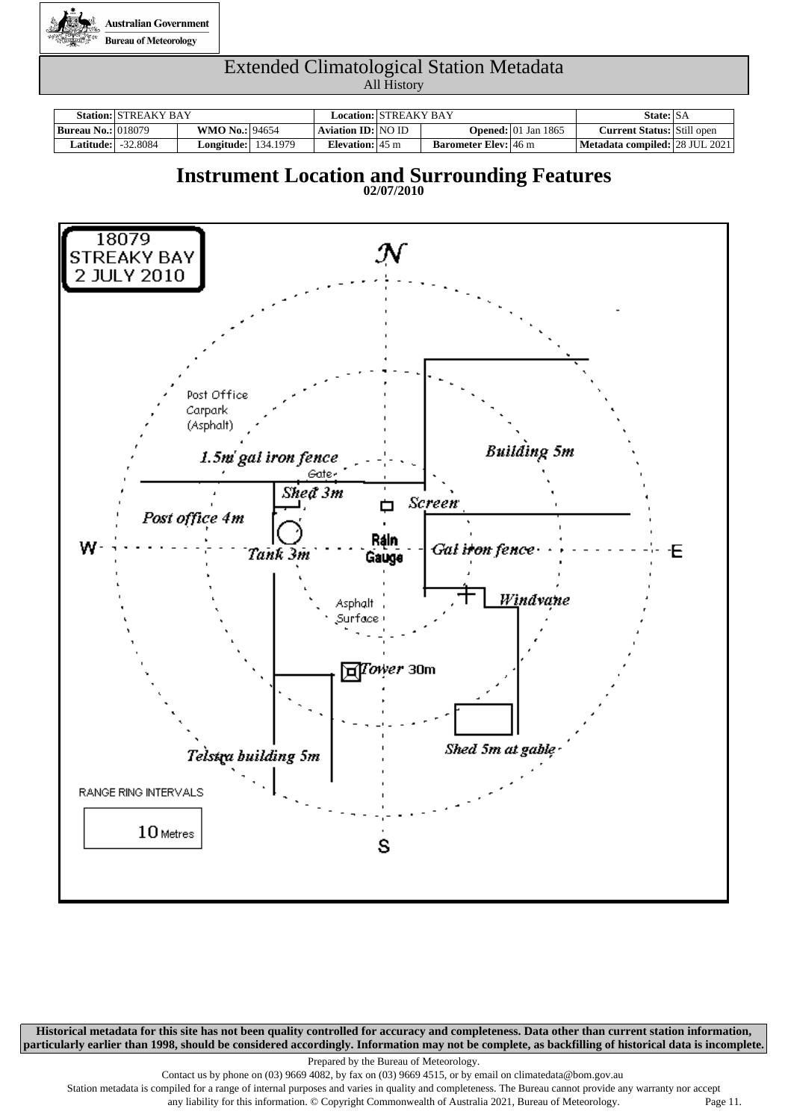

|                           | <b>Station: STREAKY BAY</b> |                            | Location: STREAKY BAY     |                             |                                        | State: SA                         |  |  |
|---------------------------|-----------------------------|----------------------------|---------------------------|-----------------------------|----------------------------------------|-----------------------------------|--|--|
| <b>Bureau No.: 018079</b> |                             | <b>WMO No.: 94654</b>      | Aviation ID: NO ID        |                             | <b>Opened:</b> $ 01 \text{ Jan } 1865$ | <b>Current Status:</b> Still open |  |  |
| Latitude:                 | -32.8084                    | <b>Longitude:</b> 134.1979 | Elevation: $45 \text{ m}$ | <b>Barometer Elev:</b> 46 m |                                        | Metadata compiled: 28 JUL 2021    |  |  |

### **Instrument Location and Surrounding Features**





**Historical metadata for this site has not been quality controlled for accuracy and completeness. Data other than current station information, particularly earlier than 1998, should be considered accordingly. Information may not be complete, as backfilling of historical data is incomplete.**

Prepared by the Bureau of Meteorology.

Contact us by phone on (03) 9669 4082, by fax on (03) 9669 4515, or by email on climatedata@bom.gov.au

Station metadata is compiled for a range of internal purposes and varies in quality and completeness. The Bureau cannot provide any warranty nor accept

any liability for this information. © Copyright Commonwealth of Australia 2021, Bureau of Meteorology. Page 11.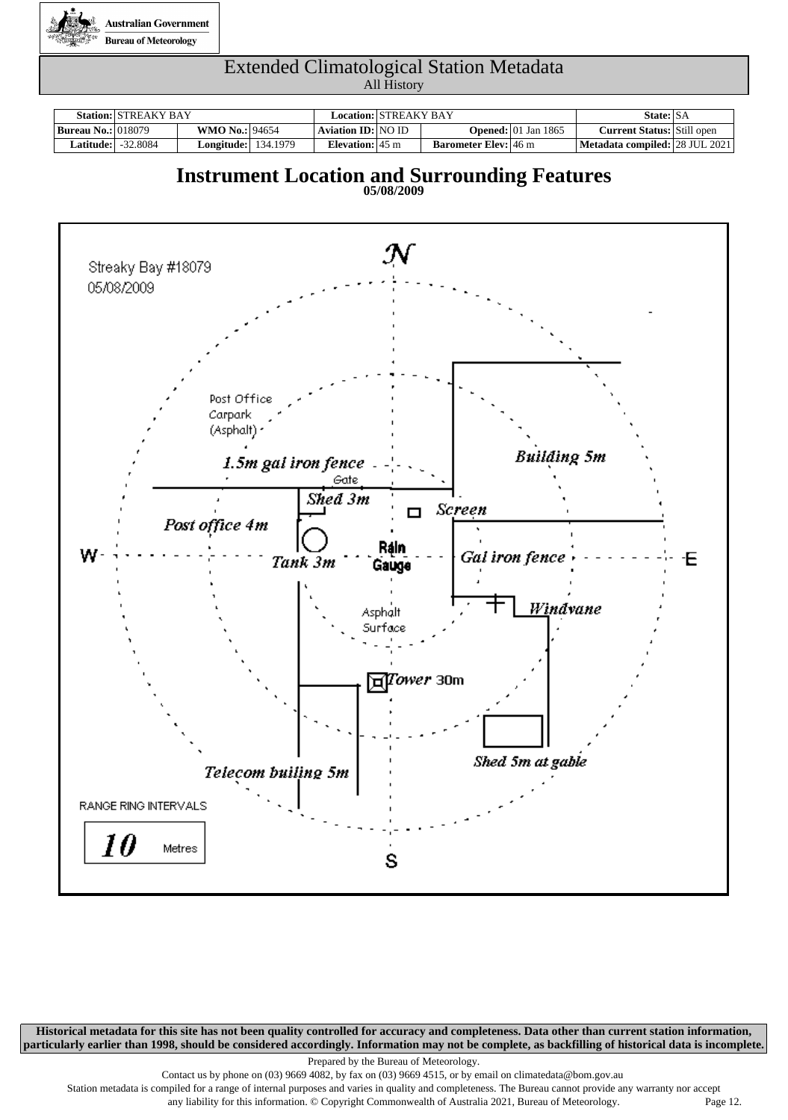

|                             | <b>Station: STREAKY BAY</b> |                            |                           | Location: STREAKY BAY |                             |                                        | State: SA                         |  |  |
|-----------------------------|-----------------------------|----------------------------|---------------------------|-----------------------|-----------------------------|----------------------------------------|-----------------------------------|--|--|
| <b>Bureau No.:</b>   018079 |                             | <b>WMO No.: 94654</b>      | <b>Aviation ID: NO ID</b> |                       |                             | <b>Opened:</b> $ 01 \text{ Jan } 1865$ | <b>Current Status:</b> Still open |  |  |
| Latitude:                   | -32.8084                    | <b>Longitude:</b> 134.1979 | Elevation: $45 \text{ m}$ |                       | <b>Barometer Elev:</b> 46 m |                                        | Metadata compiled: 28 JUL 2021    |  |  |

### **Instrument Location and Surrounding Features**





**Historical metadata for this site has not been quality controlled for accuracy and completeness. Data other than current station information, particularly earlier than 1998, should be considered accordingly. Information may not be complete, as backfilling of historical data is incomplete.**

Prepared by the Bureau of Meteorology.

Contact us by phone on (03) 9669 4082, by fax on (03) 9669 4515, or by email on climatedata@bom.gov.au

Station metadata is compiled for a range of internal purposes and varies in quality and completeness. The Bureau cannot provide any warranty nor accept

any liability for this information. © Copyright Commonwealth of Australia 2021, Bureau of Meteorology. Page 12.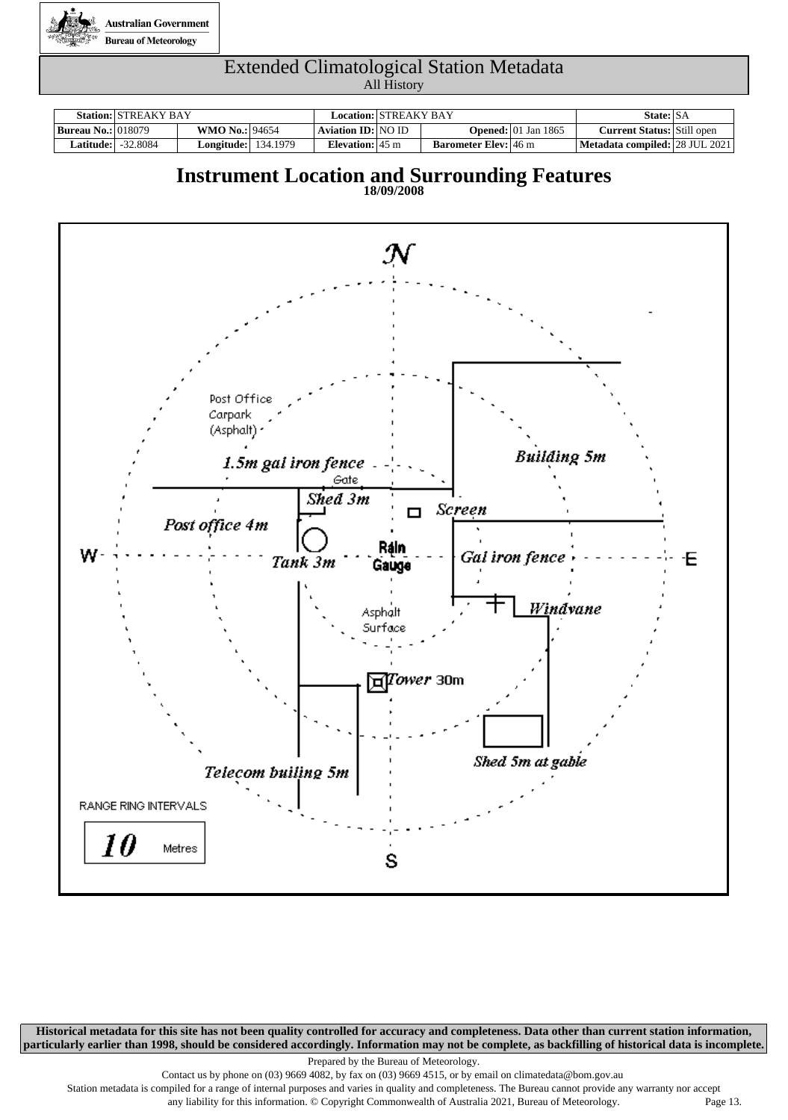

|                           | <b>Station: STREAKY BAY</b> |                            |                           | Location:   STREAKY BAY |                             |                                        | State: SA                         |  |  |
|---------------------------|-----------------------------|----------------------------|---------------------------|-------------------------|-----------------------------|----------------------------------------|-----------------------------------|--|--|
| <b>Bureau No.: 018079</b> |                             | <b>WMO No.: 94654</b>      | Aviation ID: NO ID        |                         |                             | <b>Opened:</b> $ 01 \text{ Jan } 1865$ | <b>Current Status:</b> Still open |  |  |
| <b>Latitude:  </b>        | -32.8084                    | <b>Longitude:</b> 134.1979 | Elevation: $45 \text{ m}$ |                         | <b>Barometer Elev:</b> 46 m |                                        | Metadata compiled:   28 JUL 2021  |  |  |

### **Instrument Location and Surrounding Features**





**Historical metadata for this site has not been quality controlled for accuracy and completeness. Data other than current station information, particularly earlier than 1998, should be considered accordingly. Information may not be complete, as backfilling of historical data is incomplete.**

Prepared by the Bureau of Meteorology.

Contact us by phone on (03) 9669 4082, by fax on (03) 9669 4515, or by email on climatedata@bom.gov.au

Station metadata is compiled for a range of internal purposes and varies in quality and completeness. The Bureau cannot provide any warranty nor accept any liability for this information. © Copyright Commonwealth of Australia 2021, Bureau of Meteorology. Page 13.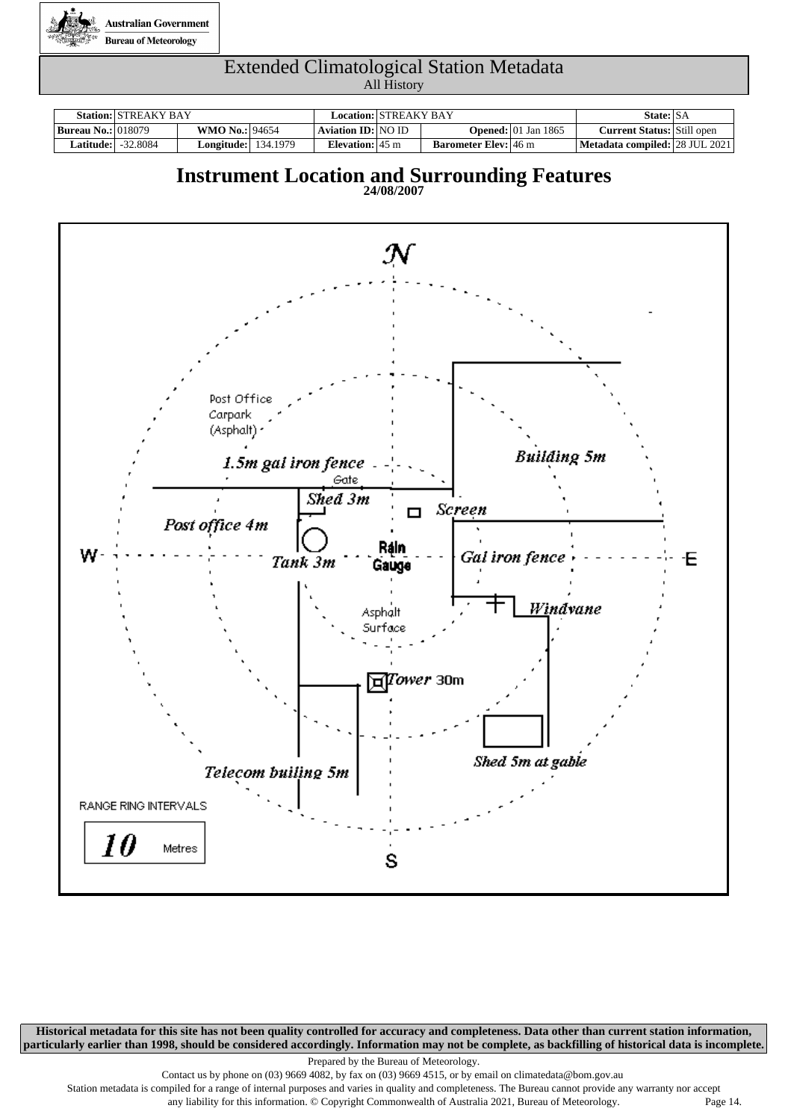

|                           | <b>Station: STREAKY BAY</b> |                            | Location:   STREAKY BAY   |                             |                                        | State: SA                         |  |
|---------------------------|-----------------------------|----------------------------|---------------------------|-----------------------------|----------------------------------------|-----------------------------------|--|
| <b>Bureau No.: 018079</b> |                             | <b>WMO No.: 94654</b>      | Aviation ID:   NO ID      |                             | <b>Opened:</b> $ 01 \text{ Jan } 1865$ | <b>Current Status:</b> Still open |  |
| <b>Latitude:  </b>        | -32.8084                    | <b>Longitude:</b> 134.1979 | Elevation: $45 \text{ m}$ | <b>Barometer Elev:</b> 46 m |                                        | Metadata compiled:   28 JUL 2021  |  |

### **Instrument Location and Surrounding Features**

**24/08/2007**



**Historical metadata for this site has not been quality controlled for accuracy and completeness. Data other than current station information, particularly earlier than 1998, should be considered accordingly. Information may not be complete, as backfilling of historical data is incomplete.**

Prepared by the Bureau of Meteorology.

Contact us by phone on (03) 9669 4082, by fax on (03) 9669 4515, or by email on climatedata@bom.gov.au

Station metadata is compiled for a range of internal purposes and varies in quality and completeness. The Bureau cannot provide any warranty nor accept any liability for this information. © Copyright Commonwealth of Australia 2021, Bureau of Meteorology. Page 14.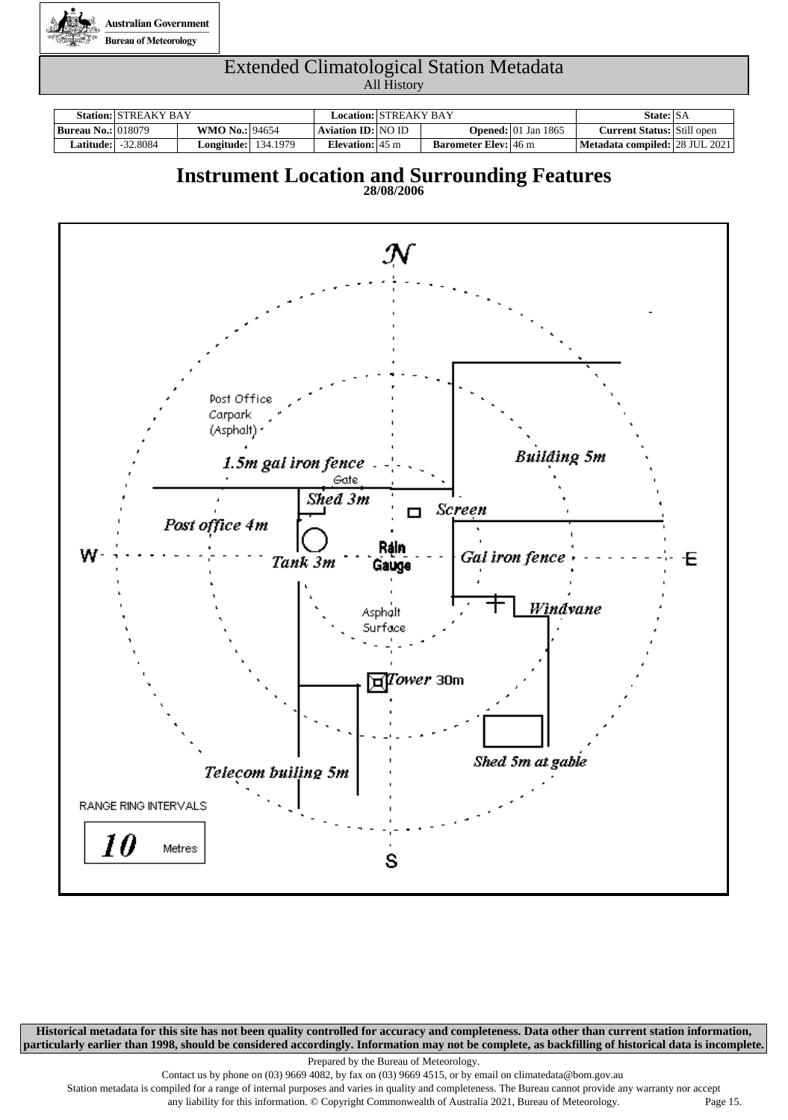

|                           | <b>Station: STREAKY BAY</b> |                            | Location:   STREAKY BAY   |                             |                                        | State: SA                         |  |
|---------------------------|-----------------------------|----------------------------|---------------------------|-----------------------------|----------------------------------------|-----------------------------------|--|
| <b>Bureau No.: 018079</b> |                             | <b>WMO No.: 94654</b>      | Aviation ID:   NO ID      |                             | <b>Opened:</b> $ 01 \text{ Jan } 1865$ | <b>Current Status:</b> Still open |  |
| <b>Latitude:  </b>        | -32.8084                    | <b>Longitude:</b> 134.1979 | Elevation: $45 \text{ m}$ | <b>Barometer Elev:</b> 46 m |                                        | Metadata compiled:   28 JUL 2021  |  |

### **Instrument Location and Surrounding Features**

**28/08/2006**



**Historical metadata for this site has not been quality controlled for accuracy and completeness. Data other than current station information, particularly earlier than 1998, should be considered accordingly. Information may not be complete, as backfilling of historical data is incomplete.**

Prepared by the Bureau of Meteorology.

Contact us by phone on (03) 9669 4082, by fax on (03) 9669 4515, or by email on climatedata@bom.gov.au

Station metadata is compiled for a range of internal purposes and varies in quality and completeness. The Bureau cannot provide any warranty nor accept any liability for this information. © Copyright Commonwealth of Australia 2021, Bureau of Meteorology. Page 15.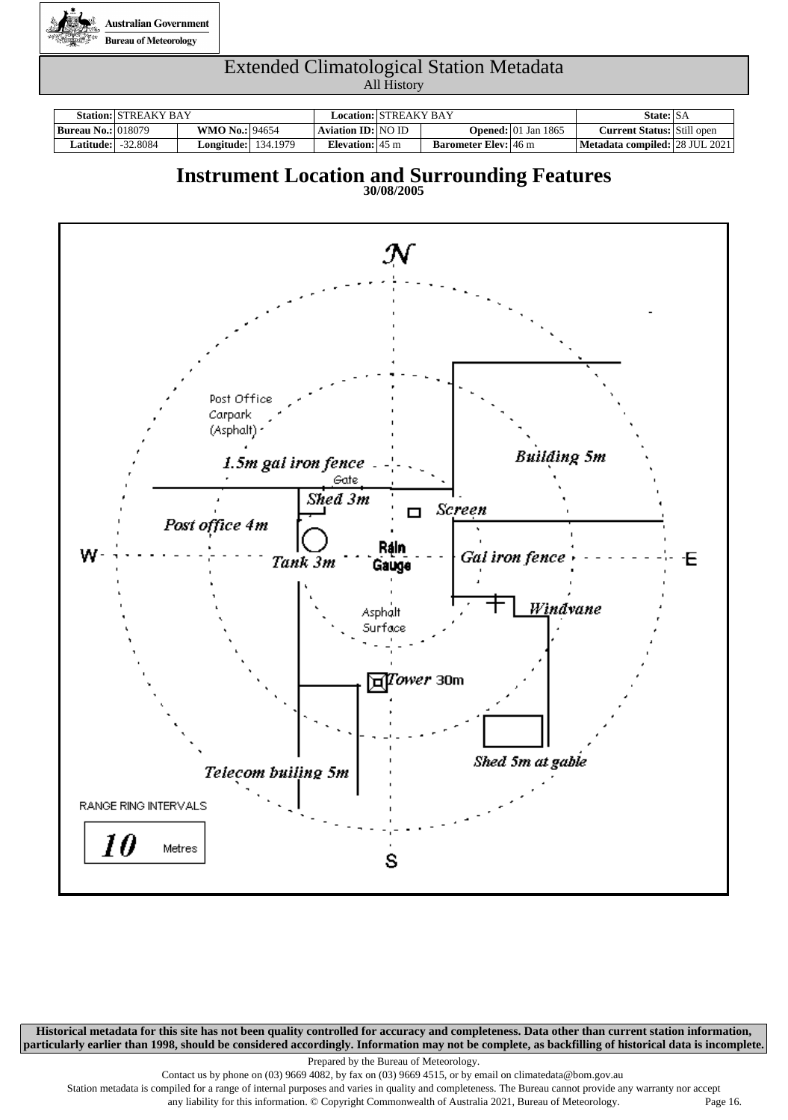

|                           | <b>Station: STREAKY BAY</b> |                            | Location:   STREAKY BAY   |                             |                                        | State: SA                         |  |
|---------------------------|-----------------------------|----------------------------|---------------------------|-----------------------------|----------------------------------------|-----------------------------------|--|
| <b>Bureau No.: 018079</b> |                             | <b>WMO No.: 94654</b>      | Aviation ID:   NO ID      |                             | <b>Opened:</b> $ 01 \text{ Jan } 1865$ | <b>Current Status:</b> Still open |  |
| <b>Latitude:  </b>        | -32.8084                    | <b>Longitude:</b> 134.1979 | Elevation: $45 \text{ m}$ | <b>Barometer Elev:</b> 46 m |                                        | Metadata compiled:   28 JUL 2021  |  |

### **Instrument Location and Surrounding Features**





**Historical metadata for this site has not been quality controlled for accuracy and completeness. Data other than current station information, particularly earlier than 1998, should be considered accordingly. Information may not be complete, as backfilling of historical data is incomplete.**

Prepared by the Bureau of Meteorology.

Contact us by phone on (03) 9669 4082, by fax on (03) 9669 4515, or by email on climatedata@bom.gov.au

Station metadata is compiled for a range of internal purposes and varies in quality and completeness. The Bureau cannot provide any warranty nor accept any liability for this information. © Copyright Commonwealth of Australia 2021, Bureau of Meteorology. Page 16.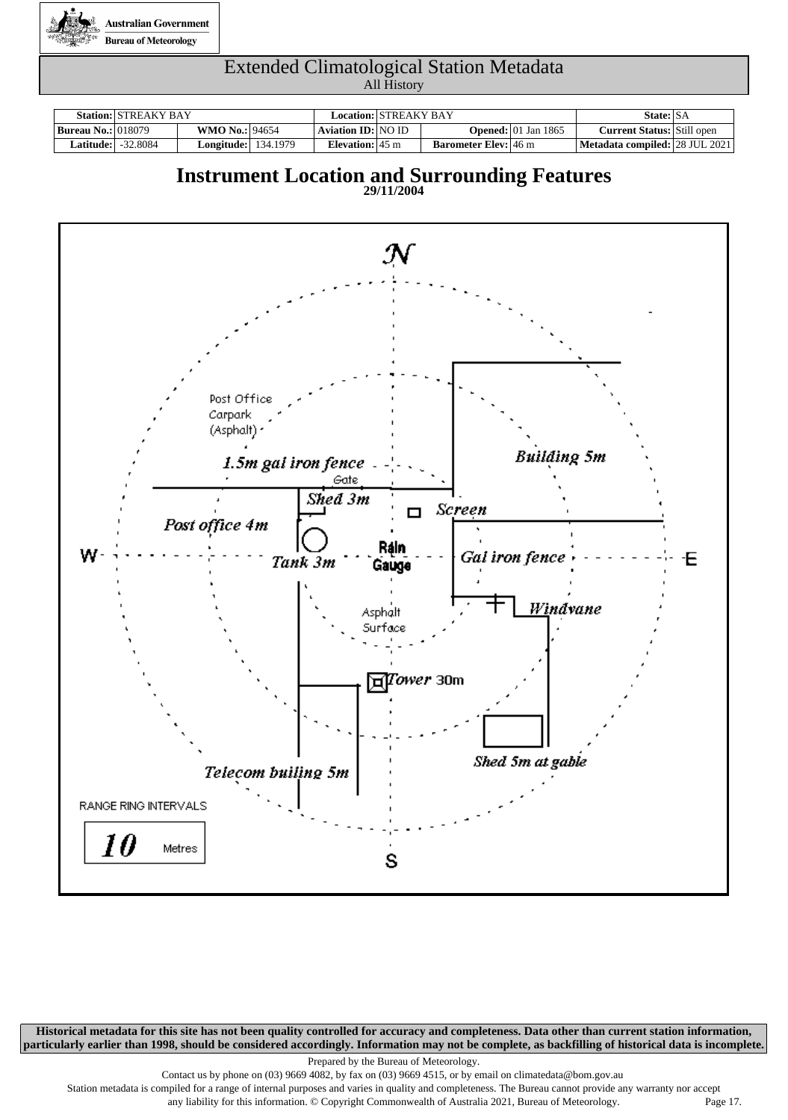

|                           | <b>Station: STREAKY BAY</b> |                            | Location:   STREAKY BAY   |                             |                                        | State: SA                         |  |
|---------------------------|-----------------------------|----------------------------|---------------------------|-----------------------------|----------------------------------------|-----------------------------------|--|
| <b>Bureau No.: 018079</b> |                             | <b>WMO No.: 94654</b>      | Aviation ID:   NO ID      |                             | <b>Opened:</b> $ 01 \text{ Jan } 1865$ | <b>Current Status:</b> Still open |  |
| <b>Latitude:  </b>        | -32.8084                    | <b>Longitude:</b> 134.1979 | Elevation: $45 \text{ m}$ | <b>Barometer Elev:</b> 46 m |                                        | Metadata compiled:   28 JUL 2021  |  |

### **Instrument Location and Surrounding Features**





**Historical metadata for this site has not been quality controlled for accuracy and completeness. Data other than current station information, particularly earlier than 1998, should be considered accordingly. Information may not be complete, as backfilling of historical data is incomplete.**

Prepared by the Bureau of Meteorology.

Contact us by phone on (03) 9669 4082, by fax on (03) 9669 4515, or by email on climatedata@bom.gov.au

Station metadata is compiled for a range of internal purposes and varies in quality and completeness. The Bureau cannot provide any warranty nor accept any liability for this information. © Copyright Commonwealth of Australia 2021, Bureau of Meteorology. Page 17.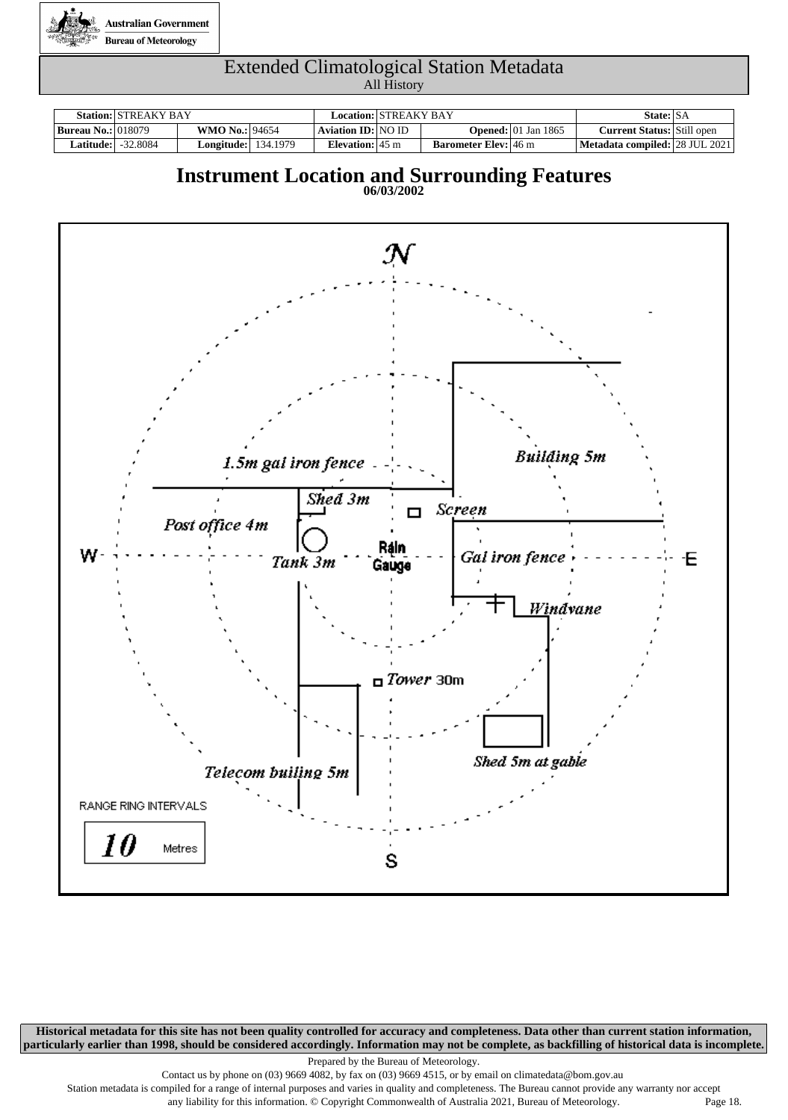

|                           | <b>Station: STREAKY BAY</b> |                            | Location:   STREAKY BAY   |                             |                                        | State: SA                         |  |
|---------------------------|-----------------------------|----------------------------|---------------------------|-----------------------------|----------------------------------------|-----------------------------------|--|
| <b>Bureau No.: 018079</b> |                             | <b>WMO No.: 94654</b>      | Aviation ID: NO ID        |                             | <b>Opened:</b> $ 01 \text{ Jan } 1865$ | <b>Current Status:</b> Still open |  |
| <b>Latitude:  </b>        | $-32.8084$                  | <b>Longitude:</b> 134.1979 | Elevation: $45 \text{ m}$ | <b>Barometer Elev:</b> 46 m |                                        | Metadata compiled: 28 JUL 2021    |  |

### **Instrument Location and Surrounding Features**





**Historical metadata for this site has not been quality controlled for accuracy and completeness. Data other than current station information, particularly earlier than 1998, should be considered accordingly. Information may not be complete, as backfilling of historical data is incomplete.**

Prepared by the Bureau of Meteorology.

Contact us by phone on (03) 9669 4082, by fax on (03) 9669 4515, or by email on climatedata@bom.gov.au

Station metadata is compiled for a range of internal purposes and varies in quality and completeness. The Bureau cannot provide any warranty nor accept any liability for this information. © Copyright Commonwealth of Australia 2021, Bureau of Meteorology. Page 18.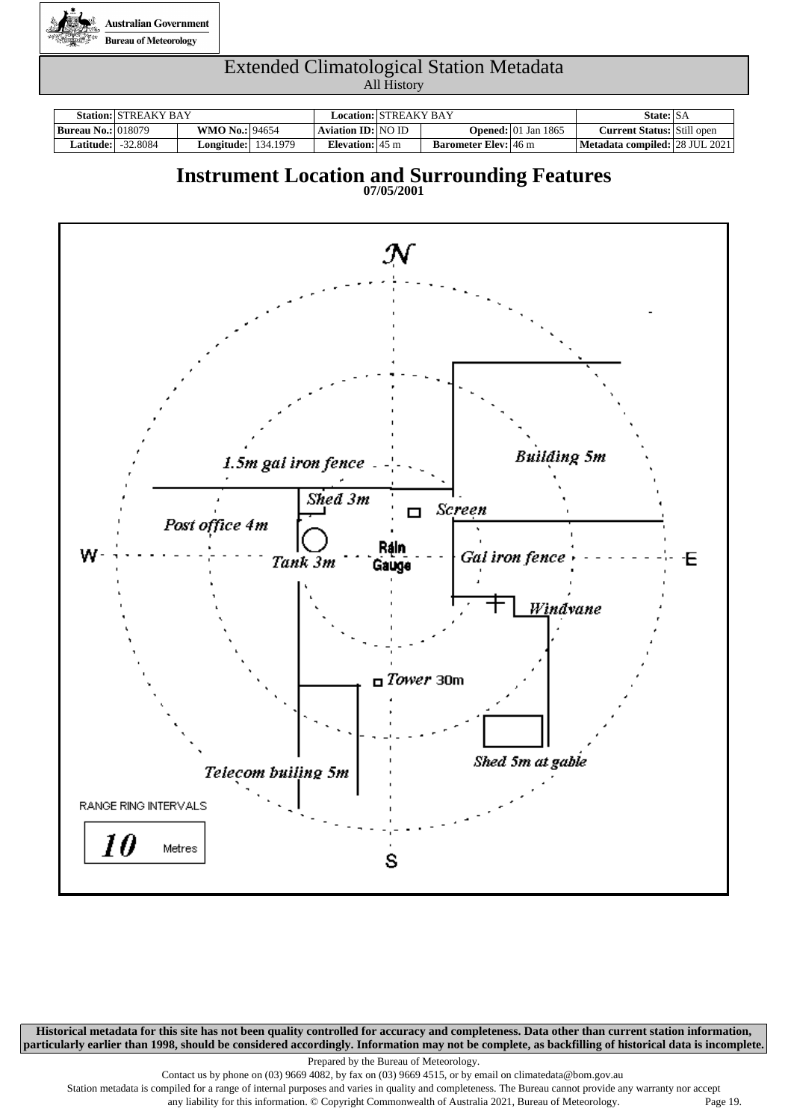

|                           | <b>Station: STREAKY BAY</b> |                            | Location: STREAKY BAY      |                             |                                        | State: SA                         |  |
|---------------------------|-----------------------------|----------------------------|----------------------------|-----------------------------|----------------------------------------|-----------------------------------|--|
| <b>Bureau No.: 018079</b> |                             | <b>WMO No.: 94654</b>      | Aviation <b>ID</b> : NO ID |                             | <b>Opened:</b> $ 01 \text{ Jan } 1865$ | <b>Current Status:</b> Still open |  |
| <b>Latitude:  </b>        | -32.8084                    | <b>Longitude:</b> 134.1979 | Elevation: $45 \text{ m}$  | <b>Barometer Elev:</b> 46 m |                                        | Metadata compiled: 28 JUL 2021    |  |

### **Instrument Location and Surrounding Features**





**Historical metadata for this site has not been quality controlled for accuracy and completeness. Data other than current station information, particularly earlier than 1998, should be considered accordingly. Information may not be complete, as backfilling of historical data is incomplete.**

Prepared by the Bureau of Meteorology.

Contact us by phone on (03) 9669 4082, by fax on (03) 9669 4515, or by email on climatedata@bom.gov.au

Station metadata is compiled for a range of internal purposes and varies in quality and completeness. The Bureau cannot provide any warranty nor accept any liability for this information. © Copyright Commonwealth of Australia 2021, Bureau of Meteorology. Page 19.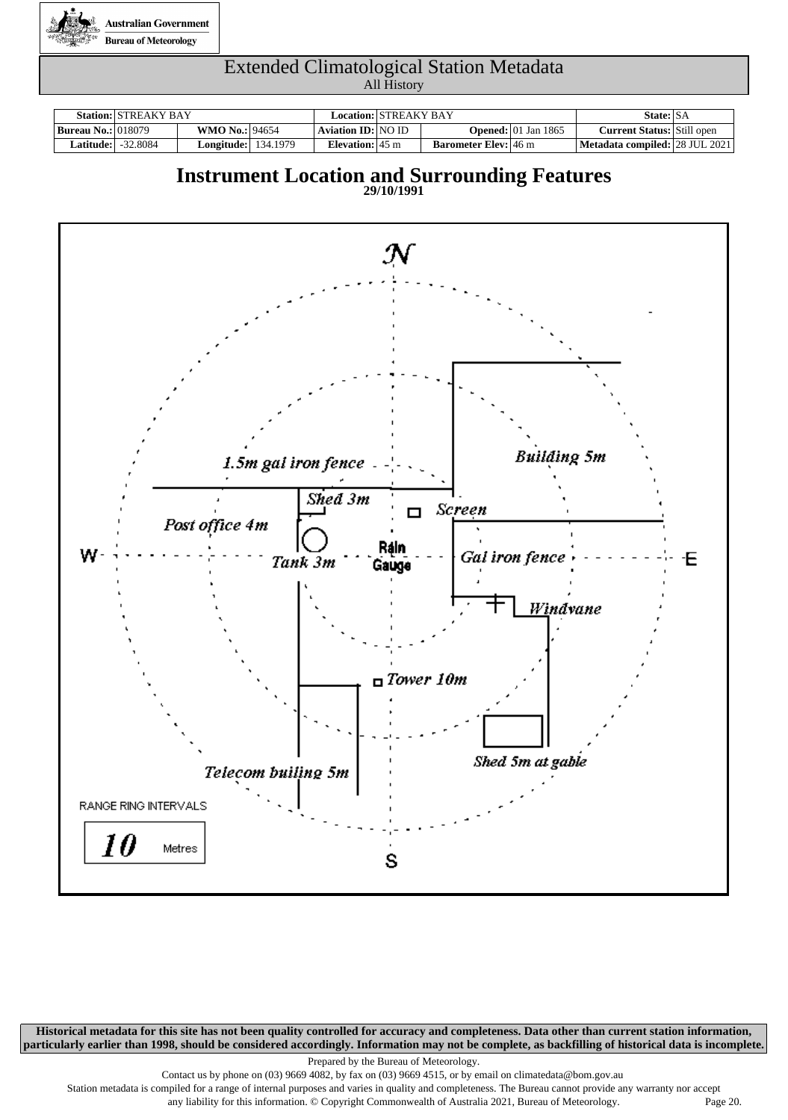

|                           | <b>Station: STREAKY BAY</b> |                            |                           | Location:   STREAKY BAY |                             |                                        | State: SA                         |  |  |
|---------------------------|-----------------------------|----------------------------|---------------------------|-------------------------|-----------------------------|----------------------------------------|-----------------------------------|--|--|
| <b>Bureau No.: 018079</b> |                             | <b>WMO No.: 94654</b>      | Aviation ID: NO ID        |                         |                             | <b>Opened:</b> $ 01 \text{ Jan } 1865$ | <b>Current Status:</b> Still open |  |  |
| <b>Latitude:  </b>        | -32.8084                    | <b>Longitude:</b> 134.1979 | Elevation: $45 \text{ m}$ |                         | <b>Barometer Elev:</b> 46 m |                                        | Metadata compiled:   28 JUL 2021  |  |  |

### **Instrument Location and Surrounding Features**



**Historical metadata for this site has not been quality controlled for accuracy and completeness. Data other than current station information, particularly earlier than 1998, should be considered accordingly. Information may not be complete, as backfilling of historical data is incomplete.**

Prepared by the Bureau of Meteorology.

Contact us by phone on (03) 9669 4082, by fax on (03) 9669 4515, or by email on climatedata@bom.gov.au

Station metadata is compiled for a range of internal purposes and varies in quality and completeness. The Bureau cannot provide any warranty nor accept any liability for this information. © Copyright Commonwealth of Australia 2021, Bureau of Meteorology. Page 20.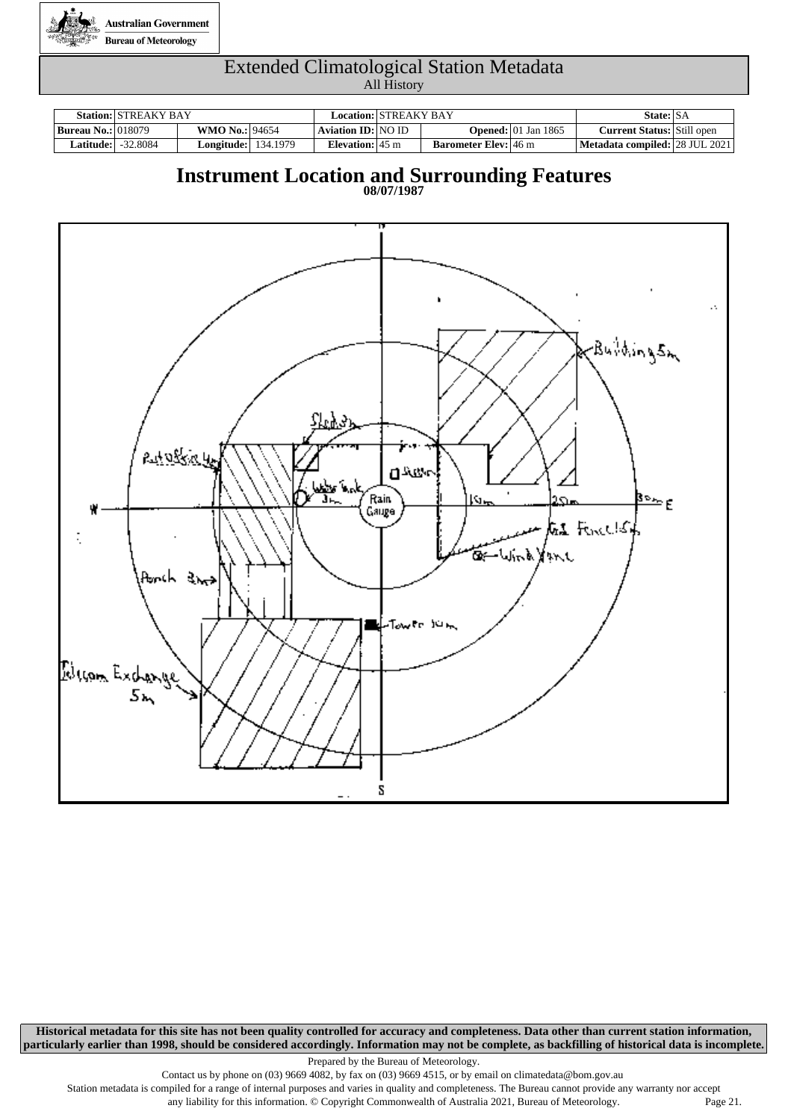

|                           | <b>Station: STREAKY BAY</b> |                            | Location:   STREAKY BAY   |                             |                                        | State: SA                         |  |
|---------------------------|-----------------------------|----------------------------|---------------------------|-----------------------------|----------------------------------------|-----------------------------------|--|
| <b>Bureau No.: 018079</b> |                             | <b>WMO No.: 94654</b>      | Aviation ID:   NO ID      |                             | <b>Opened:</b> $ 01 \text{ Jan } 1865$ | <b>Current Status:</b> Still open |  |
| <b>Latitude:  </b>        | -32.8084                    | <b>Longitude:</b> 134.1979 | Elevation: $45 \text{ m}$ | <b>Barometer Elev:</b> 46 m |                                        | Metadata compiled: 28 JUL 2021    |  |

### **Instrument Location and Surrounding Features**

**08/07/1987**



**Historical metadata for this site has not been quality controlled for accuracy and completeness. Data other than current station information, particularly earlier than 1998, should be considered accordingly. Information may not be complete, as backfilling of historical data is incomplete.**

Prepared by the Bureau of Meteorology.

Contact us by phone on (03) 9669 4082, by fax on (03) 9669 4515, or by email on climatedata@bom.gov.au

Station metadata is compiled for a range of internal purposes and varies in quality and completeness. The Bureau cannot provide any warranty nor accept

any liability for this information. © Copyright Commonwealth of Australia 2021, Bureau of Meteorology. Page 21.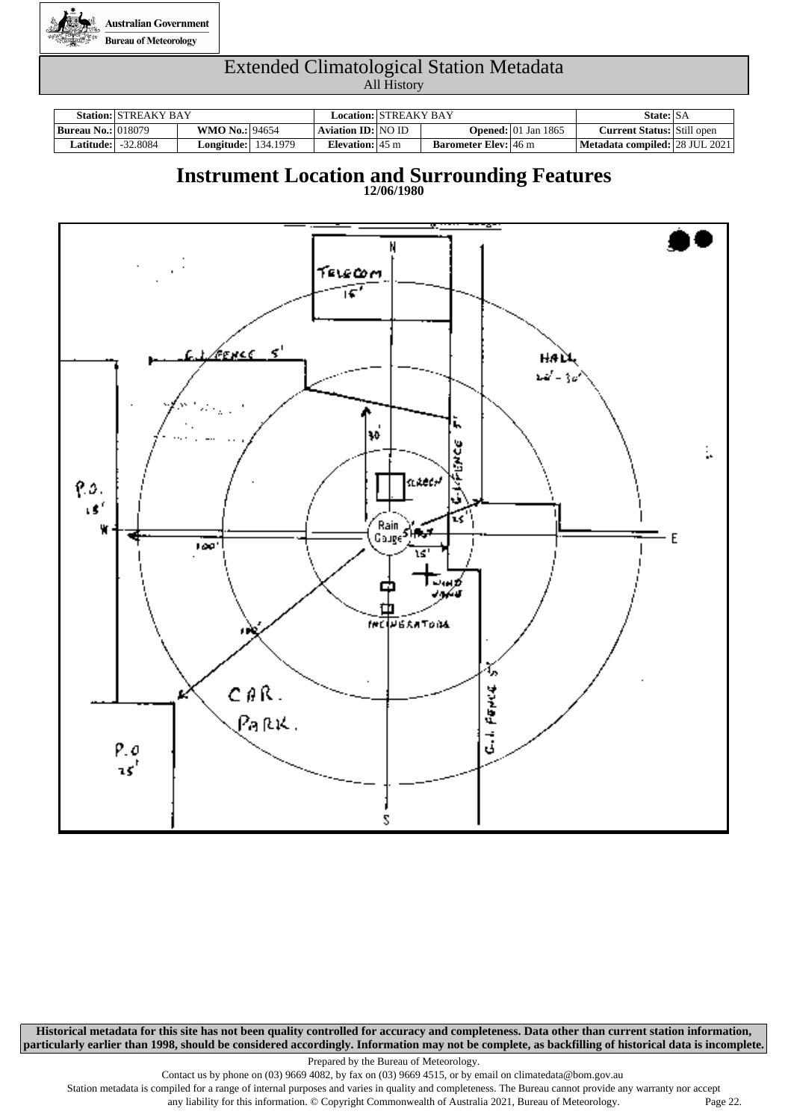

|                           | <b>Station: STREAKY BAY</b> |                            | Location:   STREAKY BAY   |                             |                                    | State: SA                         |  |
|---------------------------|-----------------------------|----------------------------|---------------------------|-----------------------------|------------------------------------|-----------------------------------|--|
| <b>Bureau No.: 018079</b> |                             | <b>WMO No.: 94654</b>      | Aviation ID:   NO ID      |                             | <b>Opened:</b> $\vert$ 01 Jan 1865 | <b>Current Status:</b> Still open |  |
|                           | <b>Latitude: -32.8084</b>   | <b>Longitude:</b> 134.1979 | Elevation: $45 \text{ m}$ | <b>Barometer Elev:</b> 46 m |                                    | Metadata compiled: 28 JUL 2021    |  |

### **Instrument Location and Surrounding Features**

**12/06/1980**



**Historical metadata for this site has not been quality controlled for accuracy and completeness. Data other than current station information, particularly earlier than 1998, should be considered accordingly. Information may not be complete, as backfilling of historical data is incomplete.**

Prepared by the Bureau of Meteorology.

Contact us by phone on (03) 9669 4082, by fax on (03) 9669 4515, or by email on climatedata@bom.gov.au

Station metadata is compiled for a range of internal purposes and varies in quality and completeness. The Bureau cannot provide any warranty nor accept any liability for this information. © Copyright Commonwealth of Australia 2021, Bureau of Meteorology. Page 22.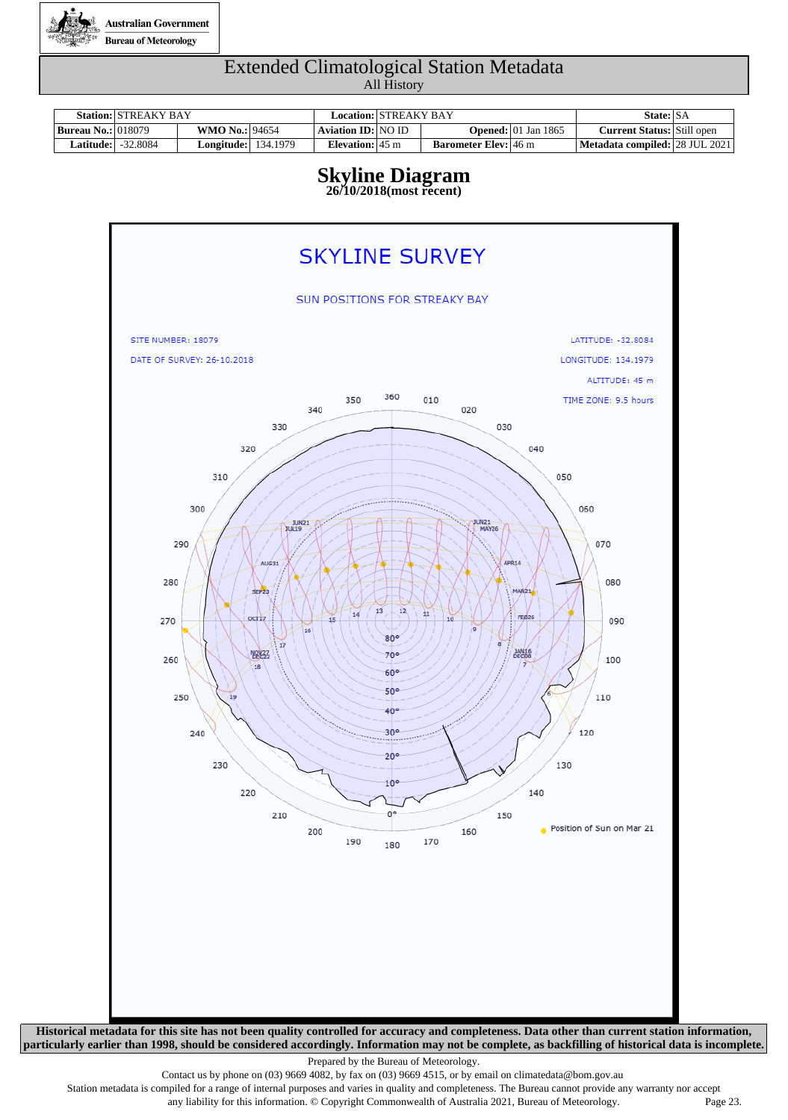

|                             | <b>Station: STREAKY BAY</b> |                            | Location:   STREAKY BAY   |                             |                                        | State: SA                                 |  |
|-----------------------------|-----------------------------|----------------------------|---------------------------|-----------------------------|----------------------------------------|-------------------------------------------|--|
| <b>Bureau No.:</b>   018079 |                             | <b>WMO No.: 94654</b>      | Aviation ID: NO ID        |                             | <b>Opened:</b> $ 01 \text{ Jan } 1865$ | <b>Current Status:</b> Still open         |  |
| <b>Latitude:  </b>          | -32.8084                    | <b>Longitude:</b> 134.1979 | Elevation: $45 \text{ m}$ | <b>Barometer Elev:</b> 46 m |                                        | <b>Metadata compiled:   28 JUL 2021  </b> |  |

# **Skyline Diagram**

**26/10/2018(most recent)**



Prepared by the Bureau of Meteorology.

Contact us by phone on (03) 9669 4082, by fax on (03) 9669 4515, or by email on climatedata@bom.gov.au

Station metadata is compiled for a range of internal purposes and varies in quality and completeness. The Bureau cannot provide any warranty nor accept any liability for this information. © Copyright Commonwealth of Australia 2021, Bureau of Meteorology. Page 23.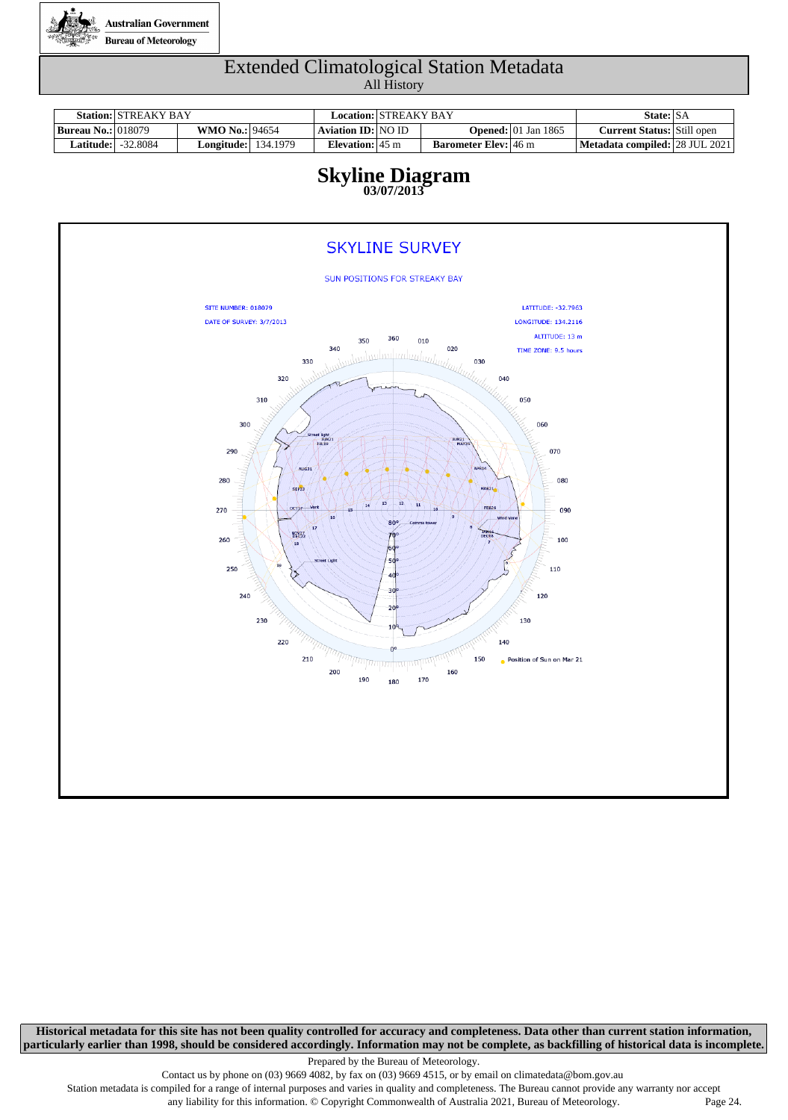

|                             | <b>Station: STREAKY BAY</b> |                            | Location:   STREAKY BAY   |                             |                                        | State: SA                         |  |
|-----------------------------|-----------------------------|----------------------------|---------------------------|-----------------------------|----------------------------------------|-----------------------------------|--|
| <b>Bureau No.:</b>   018079 |                             | <b>WMO No.: 94654</b>      | Aviation ID:   NO ID-     |                             | <b>Opened:</b> $ 01 \text{ Jan } 1865$ | <b>Current Status:</b> Still open |  |
|                             | <b>Latitude: -32.8084</b>   | <b>Longitude:</b> 134.1979 | Elevation: $45 \text{ m}$ | <b>Barometer Elev:</b> 46 m |                                        | Metadata compiled: 28 JUL 2021    |  |

#### **Skyline Diagram 03/07/2013**



**Historical metadata for this site has not been quality controlled for accuracy and completeness. Data other than current station information, particularly earlier than 1998, should be considered accordingly. Information may not be complete, as backfilling of historical data is incomplete.**

Prepared by the Bureau of Meteorology.

Contact us by phone on (03) 9669 4082, by fax on (03) 9669 4515, or by email on climatedata@bom.gov.au

Station metadata is compiled for a range of internal purposes and varies in quality and completeness. The Bureau cannot provide any warranty nor accept any liability for this information. © Copyright Commonwealth of Australia 2021, Bureau of Meteorology. Page 24.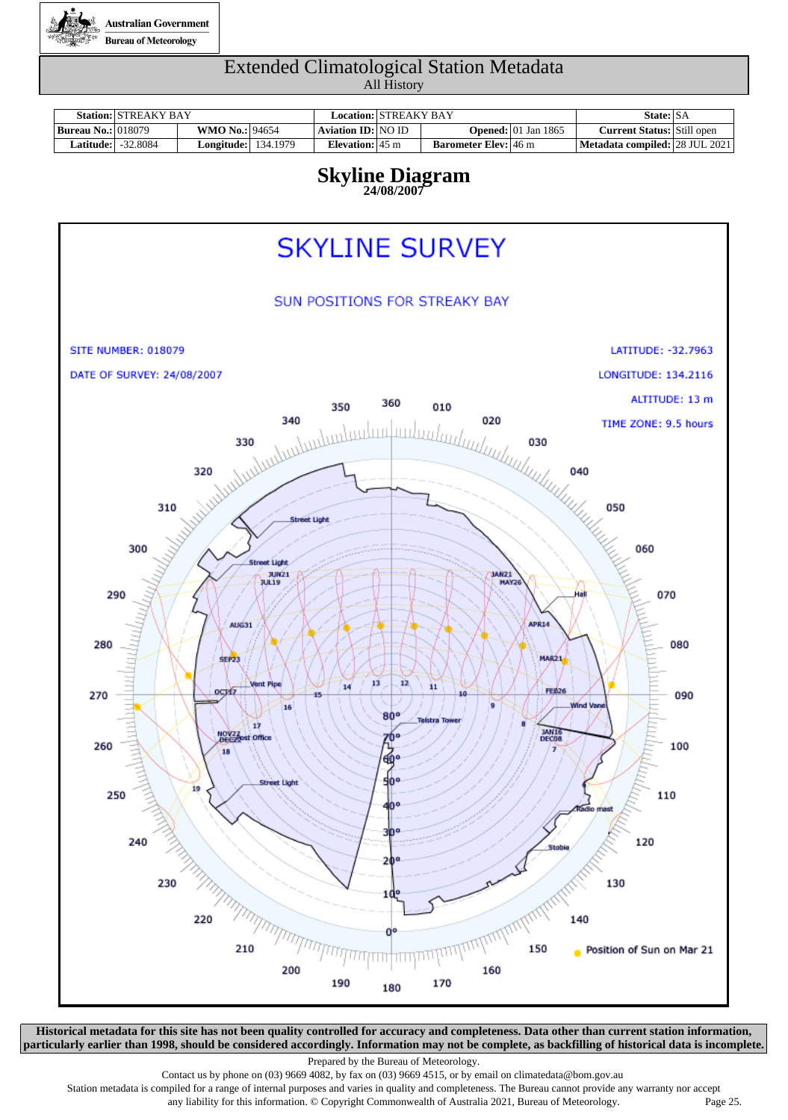

|                           | <b>Station: STREAKY BAY</b>  |                            | Location: STREAKY BAY     |                             |                                        | State: SA                         |  |
|---------------------------|------------------------------|----------------------------|---------------------------|-----------------------------|----------------------------------------|-----------------------------------|--|
| <b>Bureau No.: 018079</b> |                              | <b>WMO No.: 94654</b>      | Aviation ID: NO ID        |                             | <b>Opened:</b> $ 01 \text{ Jan } 1865$ | <b>Current Status:</b> Still open |  |
|                           | L <b>atitude:</b>   -32.8084 | <b>Longitude:</b> 134.1979 | Elevation: $45 \text{ m}$ | <b>Barometer Elev:</b> 46 m |                                        | Metadata compiled:   28 JUL 2021  |  |

#### **Skyline Diagram 24/08/2007**



**Historical metadata for this site has not been quality controlled for accuracy and completeness. Data other than current station information, particularly earlier than 1998, should be considered accordingly. Information may not be complete, as backfilling of historical data is incomplete.**

Prepared by the Bureau of Meteorology.

Contact us by phone on (03) 9669 4082, by fax on (03) 9669 4515, or by email on climatedata@bom.gov.au

Station metadata is compiled for a range of internal purposes and varies in quality and completeness. The Bureau cannot provide any warranty nor accept any liability for this information. © Copyright Commonwealth of Australia 2021, Bureau of Meteorology. Page 25.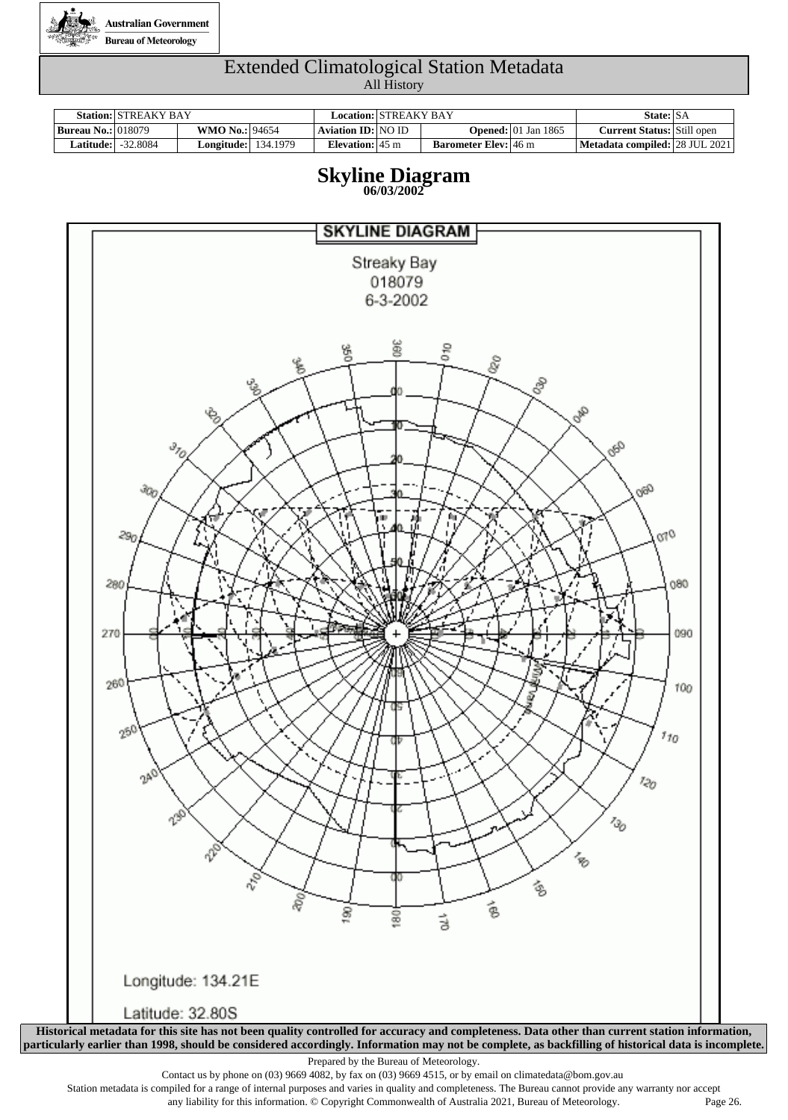

|                             | <b>Station: STREAKY BAY</b> |                            | Location: STREAKY BAY     |                             |                                        | State: SA                             |  |
|-----------------------------|-----------------------------|----------------------------|---------------------------|-----------------------------|----------------------------------------|---------------------------------------|--|
| <b>Bureau No.:</b>   018079 |                             | <b>WMO No.: 94654</b>      | Aviation ID: NO ID        |                             | <b>Opened:</b> $ 01 \text{ Jan } 1865$ | <b>Current Status:</b> Still open     |  |
| Latitude:                   | -32.8084                    | <b>Longitude:</b> 134.1979 | Elevation: $45 \text{ m}$ | <b>Barometer Elev:</b> 46 m |                                        | <b>Metadata compiled: 28 JUL 2021</b> |  |

#### **Skyline Diagram 06/03/2002**



Contact us by phone on (03) 9669 4082, by fax on (03) 9669 4515, or by email on climatedata@bom.gov.au

Station metadata is compiled for a range of internal purposes and varies in quality and completeness. The Bureau cannot provide any warranty nor accept any liability for this information. © Copyright Commonwealth of Australia 2021, Bureau of Meteorology. Page 26.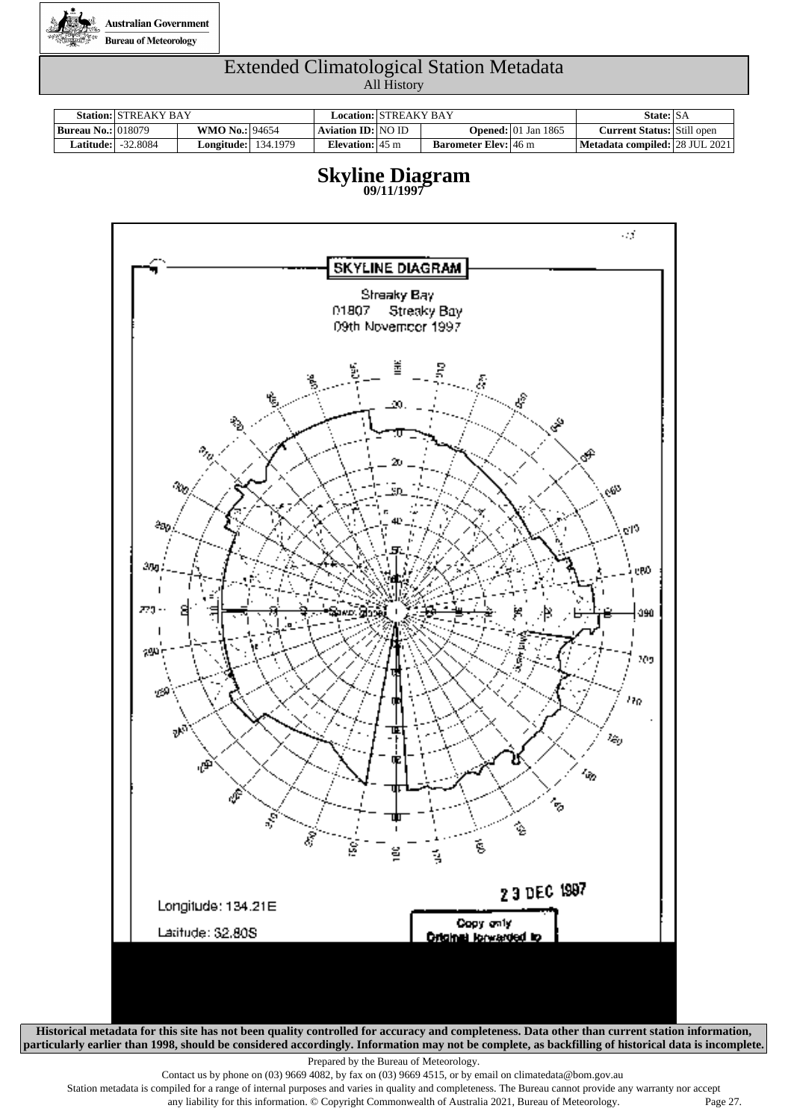

|                           | <b>Station: STREAKY BAY</b> |                            | Location: STREAKY BAY     |                             |                                        | State: SA                         |  |
|---------------------------|-----------------------------|----------------------------|---------------------------|-----------------------------|----------------------------------------|-----------------------------------|--|
| <b>Bureau No.: 018079</b> |                             | <b>WMO No.: 94654</b>      | Aviation ID: NO ID        |                             | <b>Opened:</b> $ 01 \text{ Jan } 1865$ | <b>Current Status:</b> Still open |  |
|                           | <b>Latitude:</b>   -32.8084 | <b>Longitude:</b> 134.1979 | Elevation: $45 \text{ m}$ | <b>Barometer Elev:</b> 46 m |                                        | Metadata compiled: 28 JUL 2021    |  |





**Historical metadata for this site has not been quality controlled for accuracy and completeness. Data other than current station information, particularly earlier than 1998, should be considered accordingly. Information may not be complete, as backfilling of historical data is incomplete.**

Prepared by the Bureau of Meteorology.

Contact us by phone on (03) 9669 4082, by fax on (03) 9669 4515, or by email on climatedata@bom.gov.au

Station metadata is compiled for a range of internal purposes and varies in quality and completeness. The Bureau cannot provide any warranty nor accept any liability for this information. © Copyright Commonwealth of Australia 2021, Bureau of Meteorology. Page 27.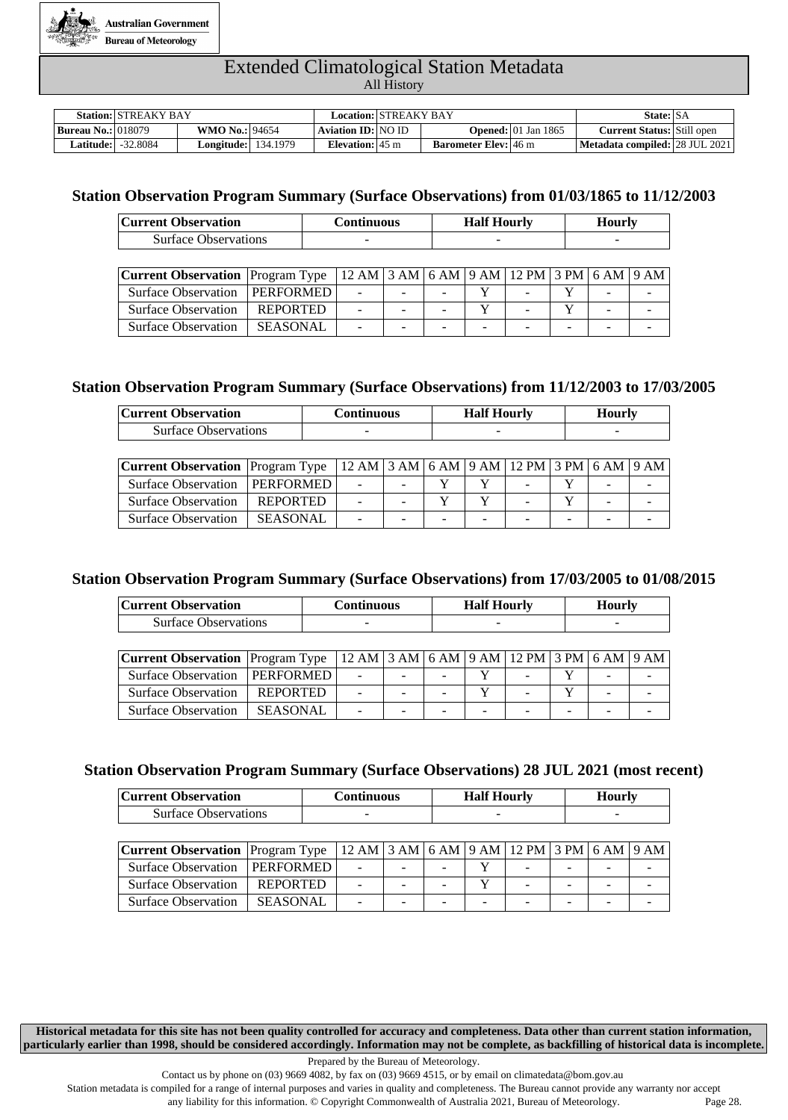

|                           | <b>Station: STREAKY BAY</b> |                            | Location:   STREAKY BAY   |                             |                                        | State: SA                         |  |
|---------------------------|-----------------------------|----------------------------|---------------------------|-----------------------------|----------------------------------------|-----------------------------------|--|
| <b>Bureau No.: 018079</b> |                             | <b>WMO No.: 94654</b>      | <b>Aviation ID: NO ID</b> |                             | <b>Opened:</b> $ 01 \text{ Jan } 1865$ | <b>Current Status: Still open</b> |  |
|                           | <b>Latitude:  -32.8084</b>  | <b>Longitude:</b> 134.1979 | Elevation: $45 \text{ m}$ | <b>Barometer Elev:</b> 46 m |                                        | Metadata compiled: 28 JUL 2021    |  |

#### **Station Observation Program Summary (Surface Observations) from 01/03/1865 to 11/12/2003**

| <b>Current Observation</b>  | <b>Continuous</b> | <b>Half Hourly</b> | <b>Hourly</b> |
|-----------------------------|-------------------|--------------------|---------------|
| <b>Surface Observations</b> | $-$               |                    | -             |
|                             |                   |                    |               |

| <b>Current Observation</b> Program Type   12 AM   3 AM   6 AM   9 AM   12 PM   3 PM   6 AM   9 AM |                |                          |                          |                          |                          |  |
|---------------------------------------------------------------------------------------------------|----------------|--------------------------|--------------------------|--------------------------|--------------------------|--|
| Surface Observation   PERFORMED   -                                                               |                | the contract of the con- | -                        |                          |                          |  |
| Surface Observation   REPORTED                                                                    | <b>Service</b> | $\sim$ 100 $\sim$        |                          |                          |                          |  |
| Surface Observation   SEASONAL   -   -                                                            |                |                          | $\overline{\phantom{a}}$ | $\overline{\phantom{0}}$ | $\overline{\phantom{a}}$ |  |

#### **Station Observation Program Summary (Surface Observations) from 11/12/2003 to 17/03/2005**

| <b>Current Observation</b>  | Continuous | <b>Half Hourly</b> | <b>Hourly</b>            |
|-----------------------------|------------|--------------------|--------------------------|
| <b>Surface Observations</b> | -          | $-$                | $\overline{\phantom{a}}$ |

| <b>Current Observation</b> Program Type   12 AM   3 AM   6 AM   9 AM   12 PM   3 PM $\overline{6}$ AM   9 AM |          |        |                |   |                          |                |        |        |  |
|--------------------------------------------------------------------------------------------------------------|----------|--------|----------------|---|--------------------------|----------------|--------|--------|--|
| Surface Observation   PERFORMED   -                                                                          |          |        |                |   |                          |                |        | $\sim$ |  |
| Surface Observation   REPORTED                                                                               |          |        |                |   |                          |                |        |        |  |
| <b>Surface Observation</b>                                                                                   | SEASONAL | $\sim$ | <b>Service</b> | - | $\overline{\phantom{a}}$ | <b>Service</b> | $\sim$ | $\sim$ |  |

#### **Station Observation Program Summary (Surface Observations) from 17/03/2005 to 01/08/2015**

| <b>Current Observation</b>  | Continuous | <b>Half Hourly</b> | <b>Hourly</b>            |
|-----------------------------|------------|--------------------|--------------------------|
| <b>Surface Observations</b> |            |                    | $\overline{\phantom{a}}$ |

| Current Observation   Program Type   12 AM   3 AM   6 AM   9 AM   12 PM   3 PM   6 AM   9 AM |          |                |        |  |                          |  |
|----------------------------------------------------------------------------------------------|----------|----------------|--------|--|--------------------------|--|
| Surface Observation   PERFORMED                                                              |          | $\sim$ 10 $\,$ | $\sim$ |  |                          |  |
| Surface Observation   REPORTED                                                               |          |                |        |  |                          |  |
| <b>Surface Observation</b>                                                                   | SEASONAL |                |        |  | $\overline{\phantom{a}}$ |  |

#### **Station Observation Program Summary (Surface Observations) 28 JUL 2021 (most recent)**

| <b>Current Observation</b>  | Continuous | <b>Half Hourly</b>       | Hourly                   |  |
|-----------------------------|------------|--------------------------|--------------------------|--|
| <b>Surface Observations</b> | -          | $\overline{\phantom{a}}$ | $\overline{\phantom{a}}$ |  |

| <b>Current Observation</b> Program Type   12 AM   3 AM   6 AM   9 AM   12 PM   3 PM   6 AM   9 AM |          |                |                          |  |   |                          |  |
|---------------------------------------------------------------------------------------------------|----------|----------------|--------------------------|--|---|--------------------------|--|
| Surface Observation   PERFORMED                                                                   |          | $\sim$         | $\sim$                   |  | - | $\overline{\phantom{0}}$ |  |
| <b>Surface Observation</b>                                                                        | REPORTED | $\blacksquare$ | $\overline{\phantom{0}}$ |  |   | $\overline{\phantom{0}}$ |  |
| <b>Surface Observation</b>                                                                        | SEASONAL | -              | -                        |  |   | $\overline{\phantom{0}}$ |  |

**Historical metadata for this site has not been quality controlled for accuracy and completeness. Data other than current station information, particularly earlier than 1998, should be considered accordingly. Information may not be complete, as backfilling of historical data is incomplete.**

Prepared by the Bureau of Meteorology.

Contact us by phone on (03) 9669 4082, by fax on (03) 9669 4515, or by email on climatedata@bom.gov.au

Station metadata is compiled for a range of internal purposes and varies in quality and completeness. The Bureau cannot provide any warranty nor accept

any liability for this information. © Copyright Commonwealth of Australia 2021, Bureau of Meteorology. Page 28.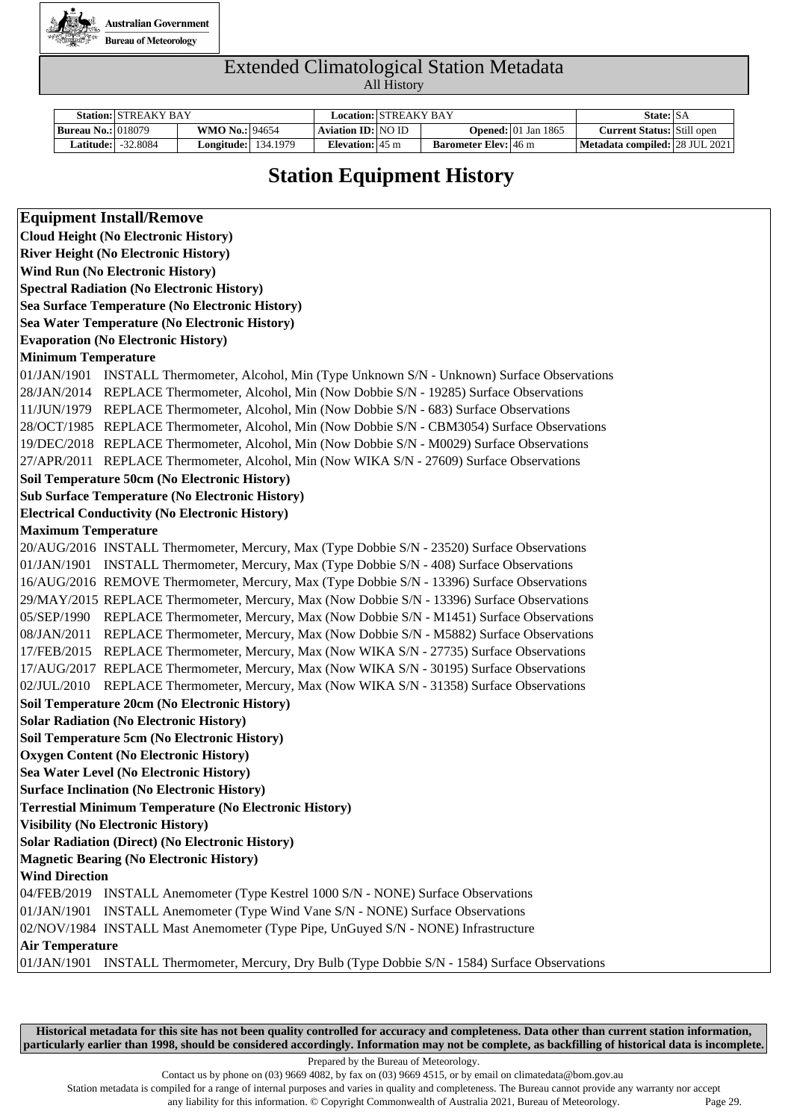

|                             | <b>Station: STREAKY BAY</b> |                            | Location: STREAKY BAY     |                             |                                        | State: SA                         |  |
|-----------------------------|-----------------------------|----------------------------|---------------------------|-----------------------------|----------------------------------------|-----------------------------------|--|
| <b>Bureau No.:</b>   018079 |                             | <b>WMO No.: 94654</b>      | Aviation ID: NO ID        |                             | <b>Opened:</b> $ 01 \text{ Jan } 1865$ | <b>Current Status:</b> Still open |  |
| Latitude:                   | $-32.8084$                  | <b>Longitude:</b> 134.1979 | Elevation: $45 \text{ m}$ | <b>Barometer Elev:</b> 46 m |                                        | Metadata compiled: 28 JUL 2021    |  |

### **Station Equipment History**

| <b>Equipment Install/Remove</b>                                                                                                                                       |
|-----------------------------------------------------------------------------------------------------------------------------------------------------------------------|
| <b>Cloud Height (No Electronic History)</b>                                                                                                                           |
| <b>River Height (No Electronic History)</b>                                                                                                                           |
| <b>Wind Run (No Electronic History)</b>                                                                                                                               |
| <b>Spectral Radiation (No Electronic History)</b>                                                                                                                     |
| Sea Surface Temperature (No Electronic History)                                                                                                                       |
| Sea Water Temperature (No Electronic History)                                                                                                                         |
| <b>Evaporation (No Electronic History)</b>                                                                                                                            |
| <b>Minimum Temperature</b>                                                                                                                                            |
| 01/JAN/1901 INSTALL Thermometer, Alcohol, Min (Type Unknown S/N - Unknown) Surface Observations                                                                       |
| 28/JAN/2014 REPLACE Thermometer, Alcohol, Min (Now Dobbie S/N - 19285) Surface Observations                                                                           |
| 11/JUN/1979 REPLACE Thermometer, Alcohol, Min (Now Dobbie S/N - 683) Surface Observations                                                                             |
| 28/OCT/1985 REPLACE Thermometer, Alcohol, Min (Now Dobbie S/N - CBM3054) Surface Observations                                                                         |
| 19/DEC/2018 REPLACE Thermometer, Alcohol, Min (Now Dobbie S/N - M0029) Surface Observations                                                                           |
| 27/APR/2011 REPLACE Thermometer, Alcohol, Min (Now WIKA S/N - 27609) Surface Observations                                                                             |
| Soil Temperature 50cm (No Electronic History)                                                                                                                         |
| <b>Sub Surface Temperature (No Electronic History)</b>                                                                                                                |
| <b>Electrical Conductivity (No Electronic History)</b>                                                                                                                |
| <b>Maximum Temperature</b>                                                                                                                                            |
| 20/AUG/2016 INSTALL Thermometer, Mercury, Max (Type Dobbie S/N - 23520) Surface Observations                                                                          |
| 01/JAN/1901 INSTALL Thermometer, Mercury, Max (Type Dobbie S/N - 408) Surface Observations                                                                            |
| 16/AUG/2016 REMOVE Thermometer, Mercury, Max (Type Dobbie S/N - 13396) Surface Observations                                                                           |
| 29/MAY/2015 REPLACE Thermometer, Mercury, Max (Now Dobbie S/N - 13396) Surface Observations                                                                           |
| 05/SEP/1990 REPLACE Thermometer, Mercury, Max (Now Dobbie S/N - M1451) Surface Observations                                                                           |
| 08/JAN/2011 REPLACE Thermometer, Mercury, Max (Now Dobbie S/N - M5882) Surface Observations                                                                           |
| 17/FEB/2015 REPLACE Thermometer, Mercury, Max (Now WIKA S/N - 27735) Surface Observations                                                                             |
| 17/AUG/2017 REPLACE Thermometer, Mercury, Max (Now WIKA S/N - 30195) Surface Observations                                                                             |
| 02/JUL/2010 REPLACE Thermometer, Mercury, Max (Now WIKA S/N - 31358) Surface Observations                                                                             |
| Soil Temperature 20cm (No Electronic History)                                                                                                                         |
| <b>Solar Radiation (No Electronic History)</b>                                                                                                                        |
| Soil Temperature 5cm (No Electronic History)                                                                                                                          |
| <b>Oxygen Content (No Electronic History)</b>                                                                                                                         |
| Sea Water Level (No Electronic History)                                                                                                                               |
| <b>Surface Inclination (No Electronic History)</b>                                                                                                                    |
| <b>Terrestial Minimum Temperature (No Electronic History)</b>                                                                                                         |
| <b>Visibility (No Electronic History)</b>                                                                                                                             |
| <b>Solar Radiation (Direct) (No Electronic History)</b>                                                                                                               |
| <b>Magnetic Bearing (No Electronic History)</b><br><b>Wind Direction</b>                                                                                              |
|                                                                                                                                                                       |
| 04/FEB/2019 INSTALL Anemometer (Type Kestrel 1000 S/N - NONE) Surface Observations<br>01/JAN/1901 INSTALL Anemometer (Type Wind Vane S/N - NONE) Surface Observations |
| 02/NOV/1984 INSTALL Mast Anemometer (Type Pipe, UnGuyed S/N - NONE) Infrastructure                                                                                    |
| <b>Air Temperature</b>                                                                                                                                                |
| 01/JAN/1901 INSTALL Thermometer, Mercury, Dry Bulb (Type Dobbie S/N - 1584) Surface Observations                                                                      |
|                                                                                                                                                                       |

**Historical metadata for this site has not been quality controlled for accuracy and completeness. Data other than current station information, particularly earlier than 1998, should be considered accordingly. Information may not be complete, as backfilling of historical data is incomplete.**

Prepared by the Bureau of Meteorology.

Contact us by phone on (03) 9669 4082, by fax on (03) 9669 4515, or by email on climatedata@bom.gov.au

Station metadata is compiled for a range of internal purposes and varies in quality and completeness. The Bureau cannot provide any warranty nor accept

any liability for this information. © Copyright Commonwealth of Australia 2021, Bureau of Meteorology. Page 29.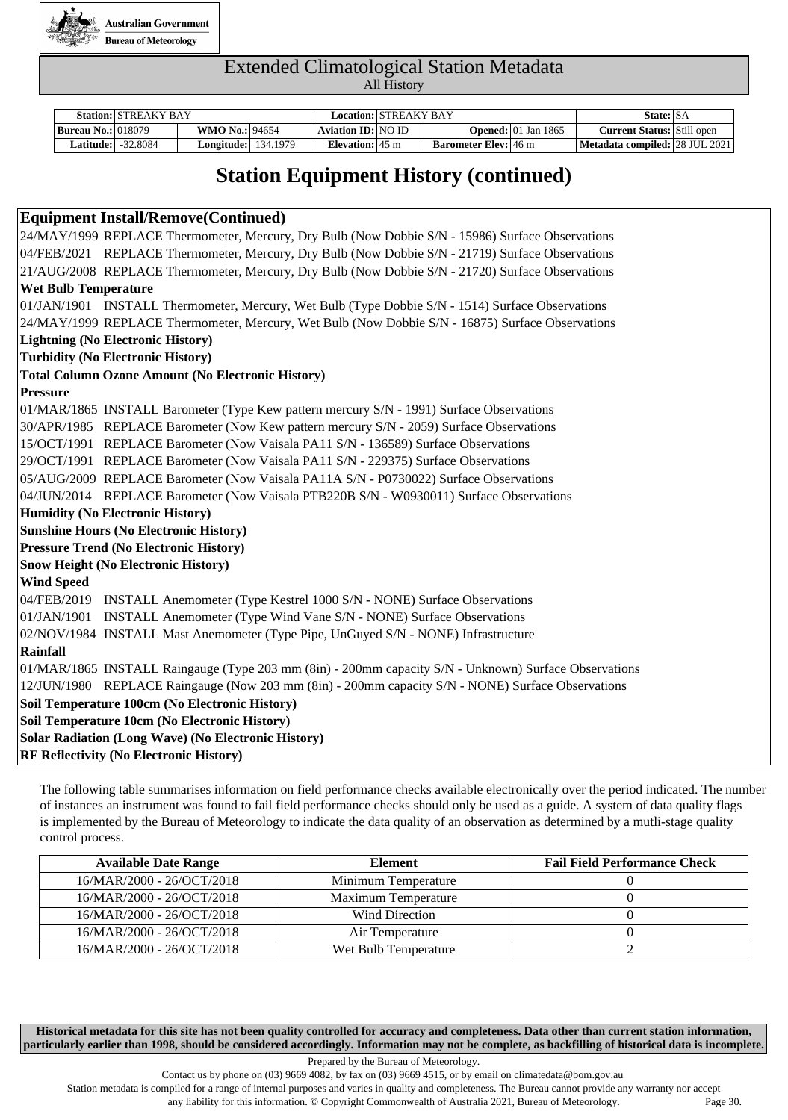

|                           | <b>Station: STREAKY BAY</b> |                            | Location: STREAKY BAY     |                             |                                        | State: SA                               |  |
|---------------------------|-----------------------------|----------------------------|---------------------------|-----------------------------|----------------------------------------|-----------------------------------------|--|
| <b>Bureau No.: 018079</b> |                             | <b>WMO No.: 94654</b>      | Aviation ID: NO ID        |                             | <b>Opened:</b> $ 01 \text{ Jan } 1865$ | <b>Current Status:</b> Still open       |  |
| <b>Latitude:  </b>        | $-32.8084$                  | <b>Longitude:</b> 134.1979 | Elevation: $45 \text{ m}$ | <b>Barometer Elev:</b> 46 m |                                        | <b>Metadata compiled:   28 JUL 2021</b> |  |

### **Station Equipment History (continued)**

#### **Equipment Install/Remove(Continued)**

24/MAY/1999 REPLACE Thermometer, Mercury, Dry Bulb (Now Dobbie S/N - 15986) Surface Observations 04/FEB/2021 REPLACE Thermometer, Mercury, Dry Bulb (Now Dobbie S/N - 21719) Surface Observations 21/AUG/2008 REPLACE Thermometer, Mercury, Dry Bulb (Now Dobbie S/N - 21720) Surface Observations **Wet Bulb Temperature**  01/JAN/1901 INSTALL Thermometer, Mercury, Wet Bulb (Type Dobbie S/N - 1514) Surface Observations 24/MAY/1999 REPLACE Thermometer, Mercury, Wet Bulb (Now Dobbie S/N - 16875) Surface Observations **Lightning (No Electronic History) Turbidity (No Electronic History) Total Column Ozone Amount (No Electronic History) Pressure**  01/MAR/1865 INSTALL Barometer (Type Kew pattern mercury S/N - 1991) Surface Observations 30/APR/1985 REPLACE Barometer (Now Kew pattern mercury S/N - 2059) Surface Observations 15/OCT/1991 REPLACE Barometer (Now Vaisala PA11 S/N - 136589) Surface Observations 29/OCT/1991 REPLACE Barometer (Now Vaisala PA11 S/N - 229375) Surface Observations 05/AUG/2009 REPLACE Barometer (Now Vaisala PA11A S/N - P0730022) Surface Observations 04/JUN/2014 REPLACE Barometer (Now Vaisala PTB220B S/N - W0930011) Surface Observations **Humidity (No Electronic History) Sunshine Hours (No Electronic History) Pressure Trend (No Electronic History) Snow Height (No Electronic History) Wind Speed**  04/FEB/2019 INSTALL Anemometer (Type Kestrel 1000 S/N - NONE) Surface Observations 01/JAN/1901 INSTALL Anemometer (Type Wind Vane S/N - NONE) Surface Observations 02/NOV/1984 INSTALL Mast Anemometer (Type Pipe, UnGuyed S/N - NONE) Infrastructure **Rainfall**  01/MAR/1865 INSTALL Raingauge (Type 203 mm (8in) - 200mm capacity S/N - Unknown) Surface Observations 12/JUN/1980 REPLACE Raingauge (Now 203 mm (8in) - 200mm capacity S/N - NONE) Surface Observations **Soil Temperature 100cm (No Electronic History) Soil Temperature 10cm (No Electronic History) Solar Radiation (Long Wave) (No Electronic History) RF Reflectivity (No Electronic History)**

The following table summarises information on field performance checks available electronically over the period indicated. The number of instances an instrument was found to fail field performance checks should only be used as a guide. A system of data quality flags is implemented by the Bureau of Meteorology to indicate the data quality of an observation as determined by a mutli-stage quality control process.

| <b>Available Date Range</b> | Element              | <b>Fail Field Performance Check</b> |
|-----------------------------|----------------------|-------------------------------------|
| 16/MAR/2000 - 26/OCT/2018   | Minimum Temperature  |                                     |
| 16/MAR/2000 - 26/OCT/2018   | Maximum Temperature  |                                     |
| 16/MAR/2000 - 26/OCT/2018   | Wind Direction       |                                     |
| 16/MAR/2000 - 26/OCT/2018   | Air Temperature      |                                     |
| 16/MAR/2000 - 26/OCT/2018   | Wet Bulb Temperature |                                     |

**Historical metadata for this site has not been quality controlled for accuracy and completeness. Data other than current station information, particularly earlier than 1998, should be considered accordingly. Information may not be complete, as backfilling of historical data is incomplete.**

Prepared by the Bureau of Meteorology.

Contact us by phone on  $(03)$  9669 4082, by fax on  $(03)$  9669 4515, or by email on climatedata@bom.gov.au

Station metadata is compiled for a range of internal purposes and varies in quality and completeness. The Bureau cannot provide any warranty nor accept

any liability for this information. © Copyright Commonwealth of Australia 2021, Bureau of Meteorology. Page 30.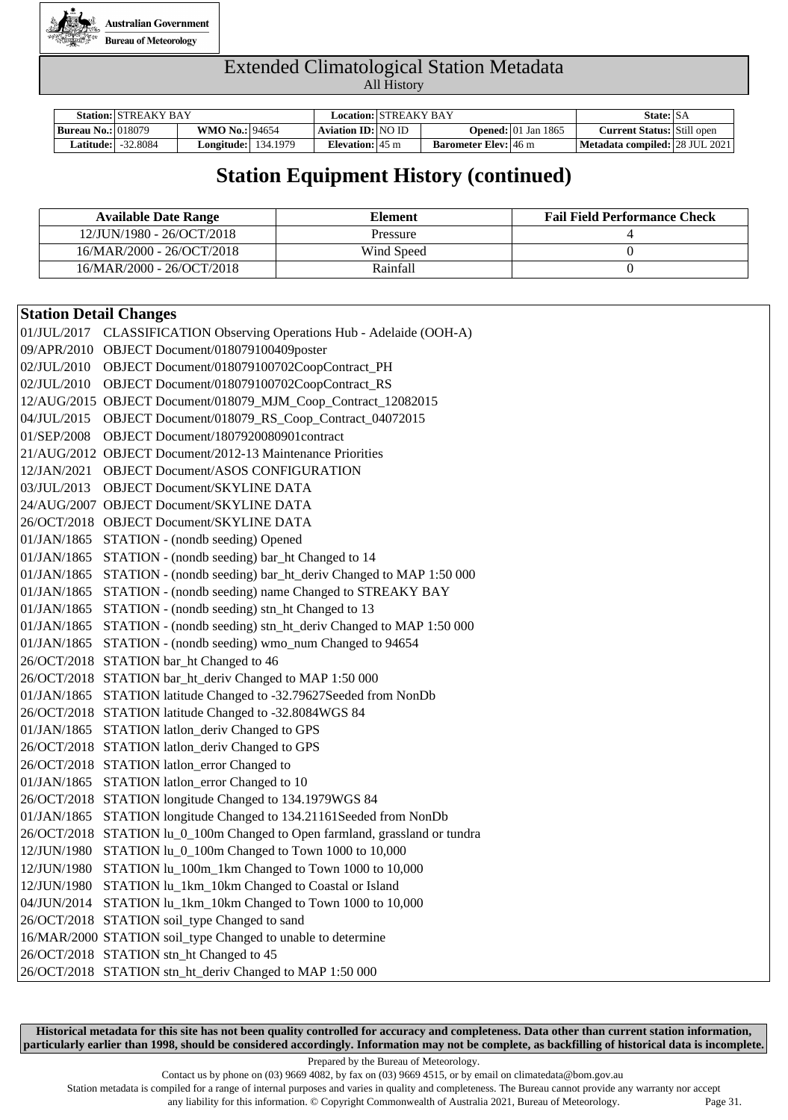

|                             | <b>Station: STREAKY BAY</b> |                                    | Location: STREAKY BAY     |                             |                                    | State: SA                         |  |
|-----------------------------|-----------------------------|------------------------------------|---------------------------|-----------------------------|------------------------------------|-----------------------------------|--|
| <b>Bureau No.:</b>   018079 |                             | <b>WMO No.: 94654</b>              | Aviation ID: NO ID        |                             | <b>Opened:</b> $\vert$ 01 Jan 1865 | <b>Current Status:</b> Still open |  |
| Latitude:                   | $-32.8084$                  | <b>Longitude:</b> $\vert$ 134.1979 | Elevation: $45 \text{ m}$ | <b>Barometer Elev:</b> 46 m |                                    | Metadata compiled: 28 JUL 2021    |  |

### **Station Equipment History (continued)**

| <b>Available Date Range</b> | Element    | <b>Fail Field Performance Check</b> |
|-----------------------------|------------|-------------------------------------|
| 12/JUN/1980 - 26/OCT/2018   | Pressure   |                                     |
| 16/MAR/2000 - 26/OCT/2018   | Wind Speed |                                     |
| 16/MAR/2000 - 26/OCT/2018   | Rainfall   |                                     |

#### **Station Detail Changes**

| 01/JUL/2017 CLASSIFICATION Observing Operations Hub - Adelaide (OOH-A)      |
|-----------------------------------------------------------------------------|
| 09/APR/2010 OBJECT Document/018079100409poster                              |
| 02/JUL/2010 OBJECT Document/018079100702CoopContract_PH                     |
| 02/JUL/2010 OBJECT Document/018079100702CoopContract_RS                     |
| 12/AUG/2015 OBJECT Document/018079_MJM_Coop_Contract_12082015               |
| 04/JUL/2015 OBJECT Document/018079_RS_Coop_Contract_04072015                |
| 01/SEP/2008 OBJECT Document/1807920080901contract                           |
| 21/AUG/2012 OBJECT Document/2012-13 Maintenance Priorities                  |
| 12/JAN/2021 OBJECT Document/ASOS CONFIGURATION                              |
| 03/JUL/2013 OBJECT Document/SKYLINE DATA                                    |
| 24/AUG/2007 OBJECT Document/SKYLINE DATA                                    |
| 26/OCT/2018 OBJECT Document/SKYLINE DATA                                    |
| 01/JAN/1865 STATION - (nondb seeding) Opened                                |
| 01/JAN/1865 STATION - (nondb seeding) bar_ht Changed to 14                  |
| 01/JAN/1865 STATION - (nondb seeding) bar_ht_deriv Changed to MAP 1:50 000  |
| 01/JAN/1865 STATION - (nondb seeding) name Changed to STREAKY BAY           |
| 01/JAN/1865 STATION - (nondb seeding) stn_ht Changed to 13                  |
| 01/JAN/1865 STATION - (nondb seeding) stn_ht_deriv Changed to MAP 1:50 000  |
| 01/JAN/1865 STATION - (nondb seeding) wmo_num Changed to 94654              |
| 26/OCT/2018 STATION bar_ht Changed to 46                                    |
| 26/OCT/2018 STATION bar_ht_deriv Changed to MAP 1:50 000                    |
| 01/JAN/1865 STATION latitude Changed to -32.79627Seeded from NonDb          |
| 26/OCT/2018 STATION latitude Changed to -32.8084WGS 84                      |
| 01/JAN/1865 STATION latlon_deriv Changed to GPS                             |
| 26/OCT/2018 STATION latlon_deriv Changed to GPS                             |
| 26/OCT/2018 STATION latlon_error Changed to                                 |
| 01/JAN/1865 STATION latlon_error Changed to 10                              |
| 26/OCT/2018 STATION longitude Changed to 134.1979WGS 84                     |
| 01/JAN/1865 STATION longitude Changed to 134.21161Seeded from NonDb         |
| 26/OCT/2018 STATION lu_0_100m Changed to Open farmland, grassland or tundra |
| 12/JUN/1980 STATION lu_0_100m Changed to Town 1000 to 10,000                |
| 12/JUN/1980 STATION lu_100m_1km Changed to Town 1000 to 10,000              |
| 12/JUN/1980 STATION lu_1km_10km Changed to Coastal or Island                |
| 04/JUN/2014 STATION lu_1km_10km Changed to Town 1000 to 10,000              |
| 26/OCT/2018 STATION soil_type Changed to sand                               |
| 16/MAR/2000 STATION soil_type Changed to unable to determine                |
| 26/OCT/2018 STATION stn_ht Changed to 45                                    |
| 26/OCT/2018 STATION stn_ht_deriv Changed to MAP 1:50 000                    |
|                                                                             |

**Historical metadata for this site has not been quality controlled for accuracy and completeness. Data other than current station information, particularly earlier than 1998, should be considered accordingly. Information may not be complete, as backfilling of historical data is incomplete.**

Prepared by the Bureau of Meteorology.

Contact us by phone on (03) 9669 4082, by fax on (03) 9669 4515, or by email on climatedata@bom.gov.au

Station metadata is compiled for a range of internal purposes and varies in quality and completeness. The Bureau cannot provide any warranty nor accept any liability for this information. © Copyright Commonwealth of Australia 2021, Bureau of Meteorology. Page 31.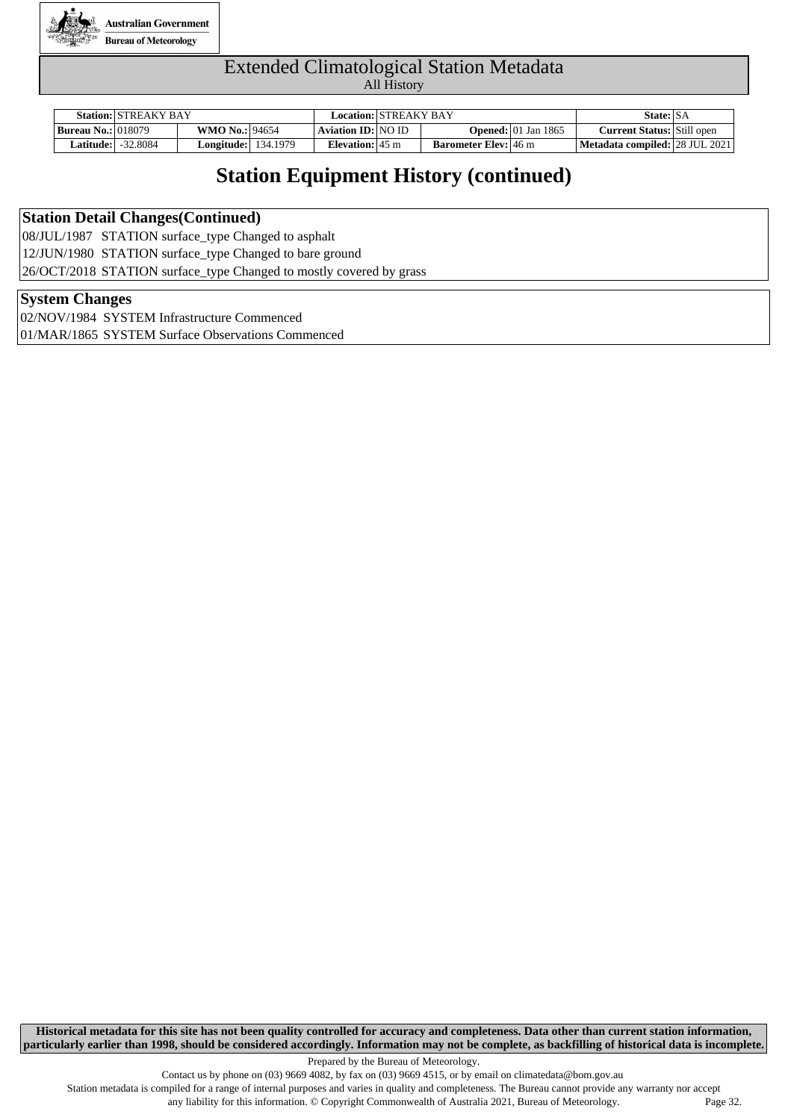

|                             | <b>Station: STREAKY BAY</b> |                            | Location: STREAKY BAY      |                             |                                        | State: SA                         |  |
|-----------------------------|-----------------------------|----------------------------|----------------------------|-----------------------------|----------------------------------------|-----------------------------------|--|
| <b>Bureau No.:</b>   018079 |                             | <b>WMO No.: 94654</b>      | Aviation <b>ID</b> : NO ID |                             | <b>Opened:</b> $ 01 \text{ Jan } 1865$ | <b>Current Status:</b> Still open |  |
| <b>Latitude:  </b>          | -32.8084                    | <b>Longitude:</b> 134.1979 | Elevation: $45 \text{ m}$  | <b>Barometer Elev:</b> 46 m |                                        | Metadata compiled: 28 JUL 2021    |  |

### **Station Equipment History (continued)**

#### **Station Detail Changes(Continued)**

08/JUL/1987 STATION surface\_type Changed to asphalt 12/JUN/1980 STATION surface\_type Changed to bare ground 26/OCT/2018 STATION surface\_type Changed to mostly covered by grass

#### **System Changes**

02/NOV/1984 SYSTEM Infrastructure Commenced 01/MAR/1865 SYSTEM Surface Observations Commenced

**Historical metadata for this site has not been quality controlled for accuracy and completeness. Data other than current station information, particularly earlier than 1998, should be considered accordingly. Information may not be complete, as backfilling of historical data is incomplete.**

Prepared by the Bureau of Meteorology.

Station metadata is compiled for a range of internal purposes and varies in quality and completeness. The Bureau cannot provide any warranty nor accept any liability for this information. © Copyright Commonwealth of Australia 2021, Bureau of Meteorology. Page 32.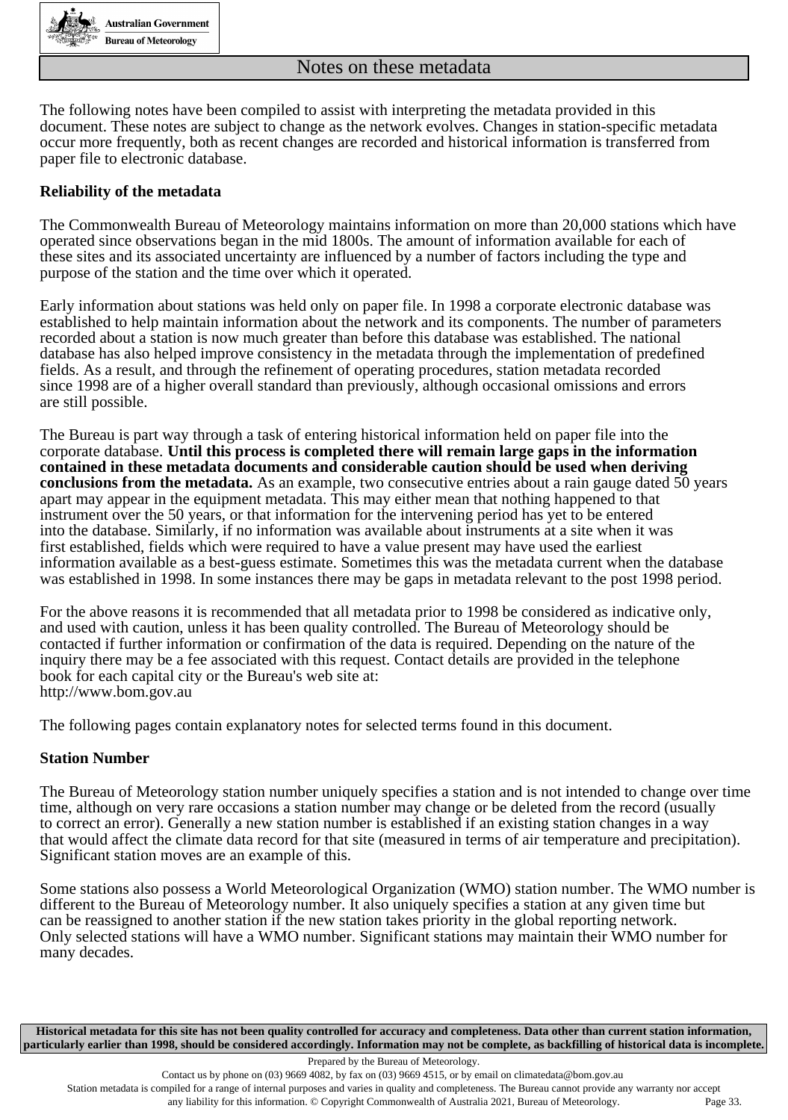

The following notes have been compiled to assist with interpreting the metadata provided in this document. These notes are subject to change as the network evolves. Changes in station-specific metadata occur more frequently, both as recent changes are recorded and historical information is transferred from paper file to electronic database.

#### **Reliability of the metadata**

The Commonwealth Bureau of Meteorology maintains information on more than 20,000 stations which have operated since observations began in the mid 1800s. The amount of information available for each of these sites and its associated uncertainty are influenced by a number of factors including the type and purpose of the station and the time over which it operated.

Early information about stations was held only on paper file. In 1998 a corporate electronic database was established to help maintain information about the network and its components. The number of parameters recorded about a station is now much greater than before this database was established. The national database has also helped improve consistency in the metadata through the implementation of predefined fields. As a result, and through the refinement of operating procedures, station metadata recorded since 1998 are of a higher overall standard than previously, although occasional omissions and errors are still possible.

The Bureau is part way through a task of entering historical information held on paper file into the corporate database. **Until this process is completed there will remain large gaps in the information contained in these metadata documents and considerable caution should be used when deriving conclusions from the metadata.** As an example, two consecutive entries about a rain gauge dated 50 years apart may appear in the equipment metadata. This may either mean that nothing happened to that instrument over the 50 years, or that information for the intervening period has yet to be entered into the database. Similarly, if no information was available about instruments at a site when it was first established, fields which were required to have a value present may have used the earliest information available as a best-guess estimate. Sometimes this was the metadata current when the database was established in 1998. In some instances there may be gaps in metadata relevant to the post 1998 period.

For the above reasons it is recommended that all metadata prior to 1998 be considered as indicative only, and used with caution, unless it has been quality controlled. The Bureau of Meteorology should be contacted if further information or confirmation of the data is required. Depending on the nature of the inquiry there may be a fee associated with this request. Contact details are provided in the telephone book for each capital city or the Bureau's web site at: http://www.bom.gov.au

The following pages contain explanatory notes for selected terms found in this document.

#### **Station Number**

The Bureau of Meteorology station number uniquely specifies a station and is not intended to change over time time, although on very rare occasions a station number may change or be deleted from the record (usually to correct an error). Generally a new station number is established if an existing station changes in a way that would affect the climate data record for that site (measured in terms of air temperature and precipitation). Significant station moves are an example of this.

Some stations also possess a World Meteorological Organization (WMO) station number. The WMO number is different to the Bureau of Meteorology number. It also uniquely specifies a station at any given time but can be reassigned to another station if the new station takes priority in the global reporting network. Only selected stations will have a WMO number. Significant stations may maintain their WMO number for many decades.

**Historical metadata for this site has not been quality controlled for accuracy and completeness. Data other than current station information, particularly earlier than 1998, should be considered accordingly. Information may not be complete, as backfilling of historical data is incomplete.**

Station metadata is compiled for a range of internal purposes and varies in quality and completeness. The Bureau cannot provide any warranty nor accept any liability for this information. © Copyright Commonwealth of Australia 2021, Bureau of Meteorology. Page 33.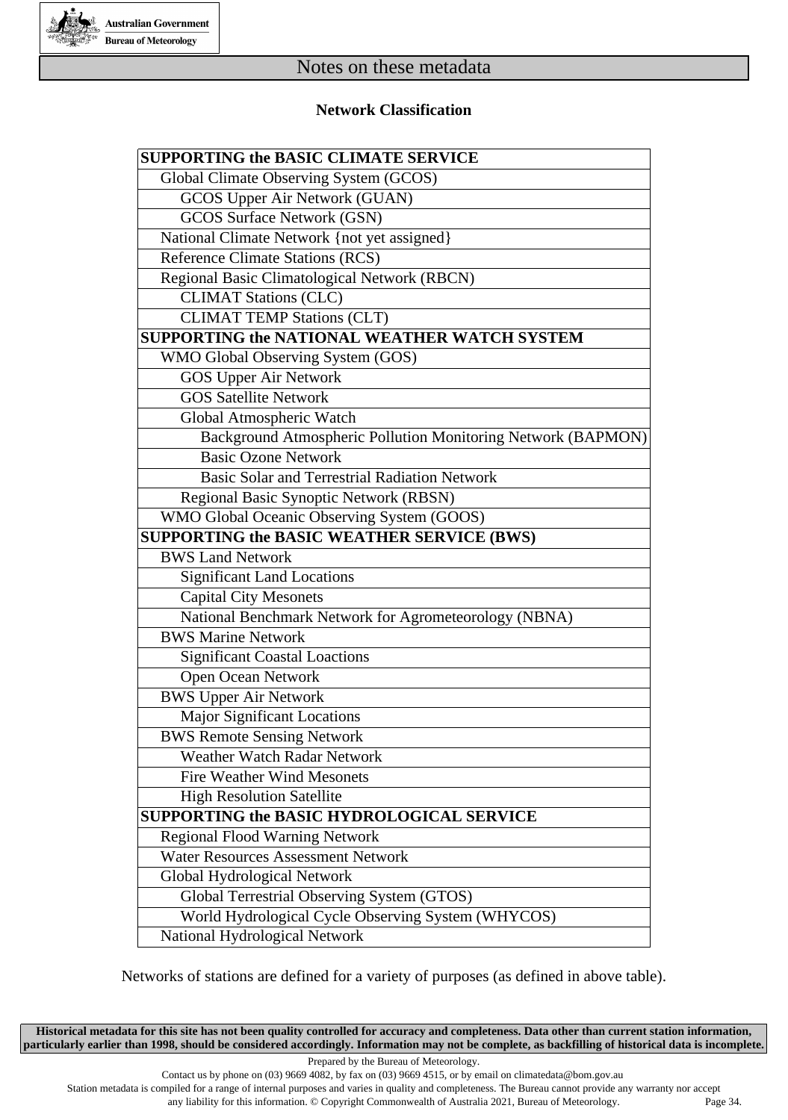

#### **Network Classification**

| <b>SUPPORTING the BASIC CLIMATE SERVICE</b>                  |
|--------------------------------------------------------------|
| Global Climate Observing System (GCOS)                       |
| GCOS Upper Air Network (GUAN)                                |
| <b>GCOS Surface Network (GSN)</b>                            |
| National Climate Network {not yet assigned}                  |
| <b>Reference Climate Stations (RCS)</b>                      |
| Regional Basic Climatological Network (RBCN)                 |
| <b>CLIMAT Stations (CLC)</b>                                 |
| <b>CLIMAT TEMP Stations (CLT)</b>                            |
| <b>SUPPORTING the NATIONAL WEATHER WATCH SYSTEM</b>          |
| WMO Global Observing System (GOS)                            |
| <b>GOS Upper Air Network</b>                                 |
| <b>GOS Satellite Network</b>                                 |
| Global Atmospheric Watch                                     |
| Background Atmospheric Pollution Monitoring Network (BAPMON) |
| <b>Basic Ozone Network</b>                                   |
| <b>Basic Solar and Terrestrial Radiation Network</b>         |
| Regional Basic Synoptic Network (RBSN)                       |
| WMO Global Oceanic Observing System (GOOS)                   |
| <b>SUPPORTING the BASIC WEATHER SERVICE (BWS)</b>            |
| <b>BWS Land Network</b>                                      |
| <b>Significant Land Locations</b>                            |
| <b>Capital City Mesonets</b>                                 |
| National Benchmark Network for Agrometeorology (NBNA)        |
| <b>BWS Marine Network</b>                                    |
| <b>Significant Coastal Loactions</b>                         |
| Open Ocean Network                                           |
| <b>BWS Upper Air Network</b>                                 |
| <b>Major Significant Locations</b>                           |
| <b>BWS Remote Sensing Network</b>                            |
| Weather Watch Radar Network                                  |
| <b>Fire Weather Wind Mesonets</b>                            |
| <b>High Resolution Satellite</b>                             |
| <b>SUPPORTING the BASIC HYDROLOGICAL SERVICE</b>             |
| <b>Regional Flood Warning Network</b>                        |
| <b>Water Resources Assessment Network</b>                    |
| Global Hydrological Network                                  |
| Global Terrestrial Observing System (GTOS)                   |
| World Hydrological Cycle Observing System (WHYCOS)           |
| National Hydrological Network                                |

Networks of stations are defined for a variety of purposes (as defined in above table).

**Historical metadata for this site has not been quality controlled for accuracy and completeness. Data other than current station information, particularly earlier than 1998, should be considered accordingly. Information may not be complete, as backfilling of historical data is incomplete.**

Prepared by the Bureau of Meteorology.

Contact us by phone on (03) 9669 4082, by fax on (03) 9669 4515, or by email on climatedata@bom.gov.au

Station metadata is compiled for a range of internal purposes and varies in quality and completeness. The Bureau cannot provide any warranty nor accept

any liability for this information. © Copyright Commonwealth of Australia 2021, Bureau of Meteorology. Page 34.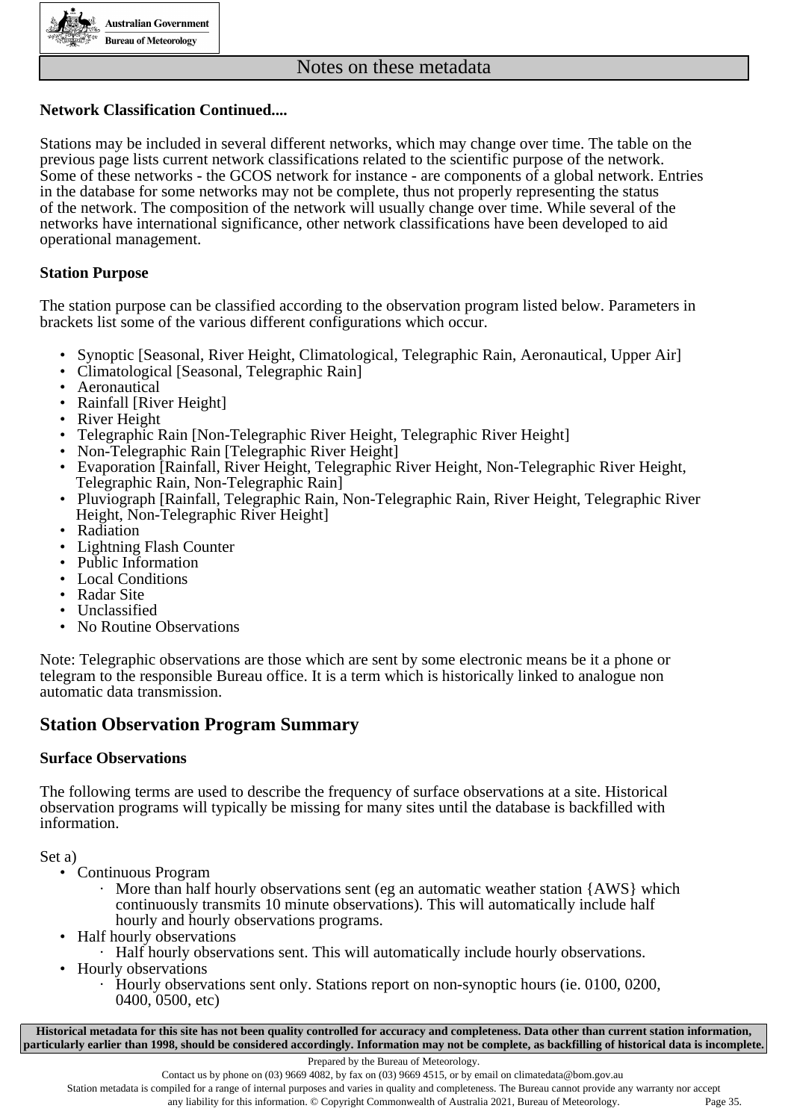

#### **Network Classification Continued....**

Stations may be included in several different networks, which may change over time. The table on the previous page lists current network classifications related to the scientific purpose of the network. Some of these networks - the GCOS network for instance - are components of a global network. Entries in the database for some networks may not be complete, thus not properly representing the status of the network. The composition of the network will usually change over time. While several of the networks have international significance, other network classifications have been developed to aid operational management.

#### **Station Purpose**

The station purpose can be classified according to the observation program listed below. Parameters in brackets list some of the various different configurations which occur.

- Synoptic [Seasonal, River Height, Climatological, Telegraphic Rain, Aeronautical, Upper Air]
- Climatological [Seasonal, Telegraphic Rain]
- Aeronautical
- Rainfall [River Height]<br>• River Height
- **River Height**
- Telegraphic Rain [Non-Telegraphic River Height, Telegraphic River Height]<br>• Non-Telegraphic Rain [Telegraphic River Height]
- Non-Telegraphic Rain [Telegraphic River Height]
- Evaporation [Rainfall, River Height, Telegraphic River Height, Non-Telegraphic River Height, Telegraphic Rain, Non-Telegraphic Rain]
- Pluviograph [Rainfall, Telegraphic Rain, Non-Telegraphic Rain, River Height, Telegraphic River Height, Non-Telegraphic River Height]
- Radiation
- Lightning Flash Counter
- Public Information
- Local Conditions
- Radar Site
- **Unclassified**
- No Routine Observations

Note: Telegraphic observations are those which are sent by some electronic means be it a phone or telegram to the responsible Bureau office. It is a term which is historically linked to analogue non automatic data transmission.

#### **Station Observation Program Summary**

#### **Surface Observations**

The following terms are used to describe the frequency of surface observations at a site. Historical observation programs will typically be missing for many sites until the database is backfilled with information.

Set a)

- Continuous Program
	- $\cdot$  More than half hourly observations sent (eg an automatic weather station {AWS} which continuously transmits 10 minute observations). This will automatically include half hourly and hourly observations programs.
- Half hourly observations
- · Half hourly observations sent. This will automatically include hourly observations.
- Hourly observations
	- · Hourly observations sent only. Stations report on non-synoptic hours (ie. 0100, 0200, 0400, 0500, etc)

**Historical metadata for this site has not been quality controlled for accuracy and completeness. Data other than current station information, particularly earlier than 1998, should be considered accordingly. Information may not be complete, as backfilling of historical data is incomplete.**

Prepared by the Bureau of Meteorology.

Contact us by phone on  $(03)$  9669 4082, by fax on  $(03)$  9669 4515, or by email on climatedata@bom.gov.au

Station metadata is compiled for a range of internal purposes and varies in quality and completeness. The Bureau cannot provide any warranty nor accept any liability for this information. © Copyright Commonwealth of Australia 2021, Bureau of Meteorology. Page 35.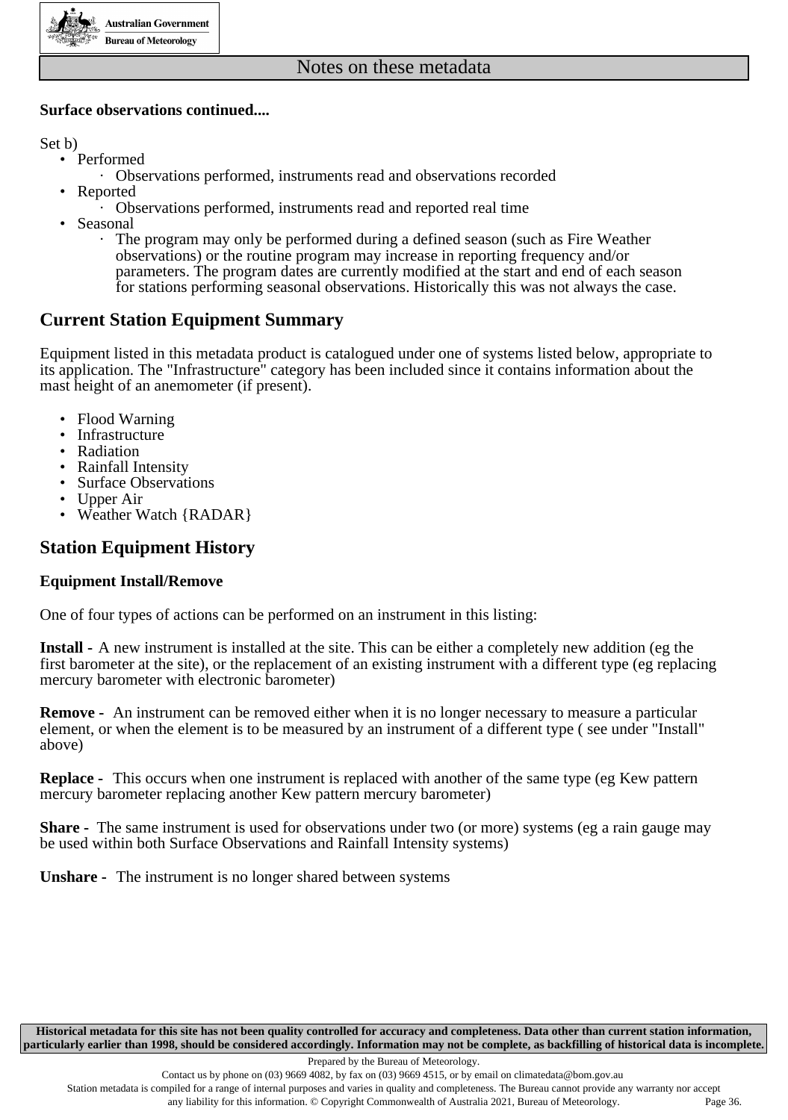

#### **Surface observations continued....**

Set b)

- Performed
	- · Observations performed, instruments read and observations recorded
- Reported
	- · Observations performed, instruments read and reported real time
- **Seasonal** 
	- · The program may only be performed during a defined season (such as Fire Weather observations) or the routine program may increase in reporting frequency and/or parameters. The program dates are currently modified at the start and end of each season for stations performing seasonal observations. Historically this was not always the case.

### **Current Station Equipment Summary**

Equipment listed in this metadata product is catalogued under one of systems listed below, appropriate to its application. The "Infrastructure" category has been included since it contains information about the mast height of an anemometer (if present).

- Flood Warning
- Infrastructure
- Radiation
- Rainfall Intensity
- Surface Observations
- Upper Air
- Weather Watch {RADAR}

### **Station Equipment History**

#### **Equipment Install/Remove**

One of four types of actions can be performed on an instrument in this listing:

**Install -** A new instrument is installed at the site. This can be either a completely new addition (eg the first barometer at the site), or the replacement of an existing instrument with a different type (eg replacing mercury barometer with electronic barometer)

**Remove -** An instrument can be removed either when it is no longer necessary to measure a particular element, or when the element is to be measured by an instrument of a different type ( see under "Install" above)

**Replace -** This occurs when one instrument is replaced with another of the same type (eg Kew pattern mercury barometer replacing another Kew pattern mercury barometer)

**Share -** The same instrument is used for observations under two (or more) systems (eg a rain gauge may be used within both Surface Observations and Rainfall Intensity systems)

**Unshare -** The instrument is no longer shared between systems

**Historical metadata for this site has not been quality controlled for accuracy and completeness. Data other than current station information, particularly earlier than 1998, should be considered accordingly. Information may not be complete, as backfilling of historical data is incomplete.**

Station metadata is compiled for a range of internal purposes and varies in quality and completeness. The Bureau cannot provide any warranty nor accept any liability for this information. © Copyright Commonwealth of Australia 2021, Bureau of Meteorology. Page 36.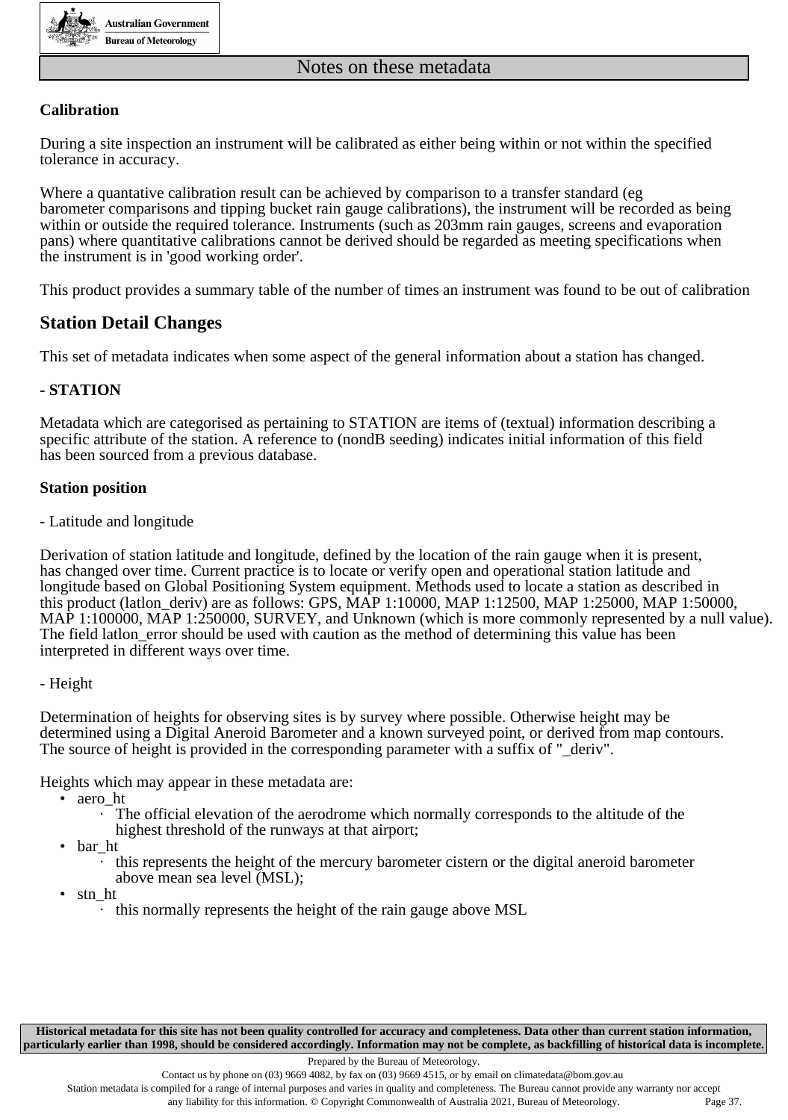

#### **Calibration**

During a site inspection an instrument will be calibrated as either being within or not within the specified tolerance in accuracy.

Where a quantative calibration result can be achieved by comparison to a transfer standard (eg barometer comparisons and tipping bucket rain gauge calibrations), the instrument will be recorded as being within or outside the required tolerance. Instruments (such as 203mm rain gauges, screens and evaporation pans) where quantitative calibrations cannot be derived should be regarded as meeting specifications when the instrument is in 'good working order'.

This product provides a summary table of the number of times an instrument was found to be out of calibration

### **Station Detail Changes**

This set of metadata indicates when some aspect of the general information about a station has changed.

#### **- STATION**

Metadata which are categorised as pertaining to STATION are items of (textual) information describing a specific attribute of the station. A reference to (nondB seeding) indicates initial information of this field has been sourced from a previous database.

#### **Station position**

- Latitude and longitude

Derivation of station latitude and longitude, defined by the location of the rain gauge when it is present, has changed over time. Current practice is to locate or verify open and operational station latitude and longitude based on Global Positioning System equipment. Methods used to locate a station as described in this product (latlon\_deriv) are as follows: GPS, MAP 1:10000, MAP 1:12500, MAP 1:25000, MAP 1:50000, MAP 1:100000, MAP 1:250000, SURVEY, and Unknown (which is more commonly represented by a null value). The field latlon\_error should be used with caution as the method of determining this value has been interpreted in different ways over time.

#### - Height

Determination of heights for observing sites is by survey where possible. Otherwise height may be determined using a Digital Aneroid Barometer and a known surveyed point, or derived from map contours. The source of height is provided in the corresponding parameter with a suffix of " deriv".

Heights which may appear in these metadata are:

- aero\_ht
	- The official elevation of the aerodrome which normally corresponds to the altitude of the highest threshold of the runways at that airport;
- bar\_ht
	- · this represents the height of the mercury barometer cistern or the digital aneroid barometer above mean sea level (MSL);
- stn\_ht
	- · this normally represents the height of the rain gauge above MSL

**Historical metadata for this site has not been quality controlled for accuracy and completeness. Data other than current station information, particularly earlier than 1998, should be considered accordingly. Information may not be complete, as backfilling of historical data is incomplete.**

Prepared by the Bureau of Meteorology.

Contact us by phone on  $(03)$  9669 4082, by fax on  $(03)$  9669 4515, or by email on climatedata@bom.gov.au

Station metadata is compiled for a range of internal purposes and varies in quality and completeness. The Bureau cannot provide any warranty nor accept any liability for this information. © Copyright Commonwealth of Australia 2021, Bureau of Meteorology. Page 37.